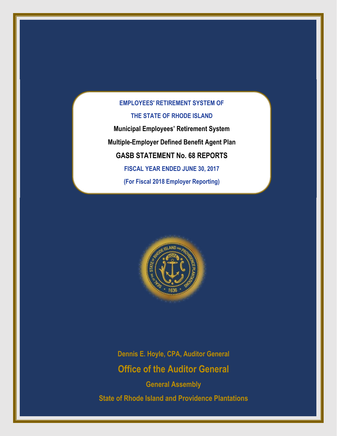**Municipal Employees' Retirement System Multiple-Employer Defined Benefit Agent Plan GASB STATEMENT No. 68 REPORTS FISCAL YEAR ENDED JUNE 30, 2017**

**(For Fiscal 2018 Employer Reporting)**



**Dennis E. Hoyle, CPA, Auditor General Office of the Auditor General**

**General Assembly State of Rhode Island and Providence Plantations**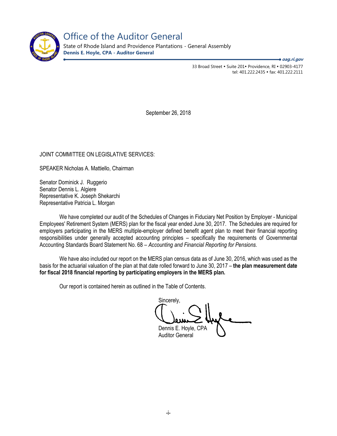

# Office of the Auditor General

State of Rhode Island and Providence Plantations - General Assembly **Dennis E. Hoyle, CPA - Auditor General**

**oag.ri.gov**

33 Broad Street • Suite 201• Providence, RI • 02903-4177 tel: 401.222.2435 · fax: 401.222.2111

September 26, 2018

#### JOINT COMMITTEE ON LEGISLATIVE SERVICES:

SPEAKER Nicholas A. Mattiello, Chairman

Senator Dominick J. Ruggerio Senator Dennis L. Algiere Representative K. Joseph Shekarchi Representative Patricia L. Morgan

We have completed our audit of the Schedules of Changes in Fiduciary Net Position by Employer - Municipal Employees' Retirement System (MERS) plan for the fiscal year ended June 30, 2017. The Schedules are required for employers participating in the MERS multiple-employer defined benefit agent plan to meet their financial reporting responsibilities under generally accepted accounting principles – specifically the requirements of Governmental Accounting Standards Board Statement No. 68 – *Accounting and Financial Reporting for Pensions.* 

We have also included our report on the MERS plan census data as of June 30, 2016, which was used as the basis for the actuarial valuation of the plan at that date rolled forward to June 30, 2017 – **the plan measurement date for fiscal 2018 financial reporting by participating employers in the MERS plan.** 

Our report is contained herein as outlined in the Table of Contents.

Sincerely, Dennis E. Hoyle, CPA

Auditor General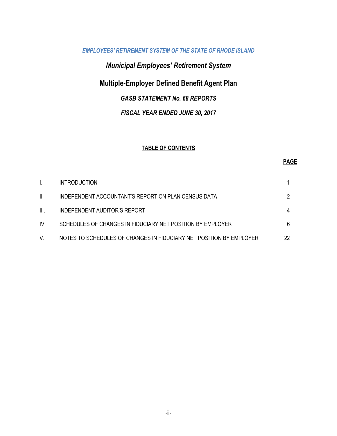## *Municipal Employees' Retirement System*

# **Multiple-Employer Defined Benefit Agent Plan**

## *GASB STATEMENT No. 68 REPORTS*

## *FISCAL YEAR ENDED JUNE 30, 2017*

## **TABLE OF CONTENTS**

### **PAGE**

|      | <b>INTRODUCTION</b>                                                 |    |
|------|---------------------------------------------------------------------|----|
| II.  | INDEPENDENT ACCOUNTANT'S REPORT ON PLAN CENSUS DATA                 | 2  |
| III. | INDEPENDENT AUDITOR'S REPORT                                        |    |
| IV.  | SCHEDULES OF CHANGES IN FIDUCIARY NET POSITION BY EMPLOYER          | 6  |
|      | NOTES TO SCHEDULES OF CHANGES IN FIDUCIARY NET POSITION BY EMPLOYER | 22 |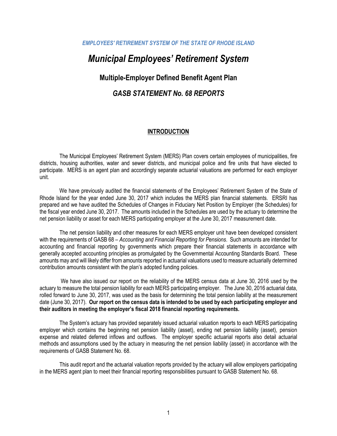# *Municipal Employees' Retirement System*

**Multiple-Employer Defined Benefit Agent Plan** 

## *GASB STATEMENT No. 68 REPORTS*

### **INTRODUCTION**

The Municipal Employees' Retirement System (MERS) Plan covers certain employees of municipalities, fire districts, housing authorities, water and sewer districts, and municipal police and fire units that have elected to participate. MERS is an agent plan and accordingly separate actuarial valuations are performed for each employer unit.

We have previously audited the financial statements of the Employees' Retirement System of the State of Rhode Island for the year ended June 30, 2017 which includes the MERS plan financial statements. ERSRI has prepared and we have audited the Schedules of Changes in Fiduciary Net Position by Employer (the Schedules) for the fiscal year ended June 30, 2017. The amounts included in the Schedules are used by the actuary to determine the net pension liability or asset for each MERS participating employer at the June 30, 2017 measurement date.

The net pension liability and other measures for each MERS employer unit have been developed consistent with the requirements of GASB 68 – *Accounting and Financial Reporting for Pensions*. Such amounts are intended for accounting and financial reporting by governments which prepare their financial statements in accordance with generally accepted accounting principles as promulgated by the Governmental Accounting Standards Board. These amounts may and will likely differ from amounts reported in actuarial valuations used to measure actuarially determined contribution amounts consistent with the plan's adopted funding policies.

We have also issued our report on the reliability of the MERS census data at June 30, 2016 used by the actuary to measure the total pension liability for each MERS participating employer. The June 30, 2016 actuarial data, rolled forward to June 30, 2017, was used as the basis for determining the total pension liability at the measurement date (June 30, 2017). **Our report on the census data is intended to be used by each participating employer and their auditors in meeting the employer's fiscal 2018 financial reporting requirements.**

The System's actuary has provided separately issued actuarial valuation reports to each MERS participating employer which contains the beginning net pension liability (asset), ending net pension liability (asset), pension expense and related deferred inflows and outflows. The employer specific actuarial reports also detail actuarial methods and assumptions used by the actuary in measuring the net pension liability (asset) in accordance with the requirements of GASB Statement No. 68.

This audit report and the actuarial valuation reports provided by the actuary will allow employers participating in the MERS agent plan to meet their financial reporting responsibilities pursuant to GASB Statement No. 68.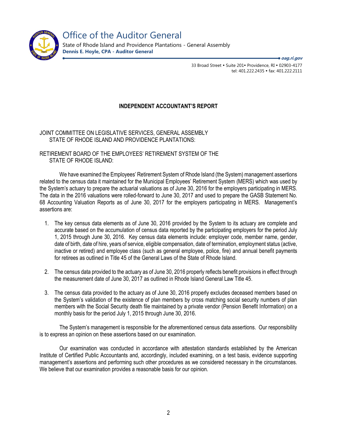

Office of the Auditor General State of Rhode Island and Providence Plantations - General Assembly

**Dennis E. Hoyle, CPA - Auditor General**

33 Broad Street • Suite 201 • Providence, RI • 02903-4177 tel: 401.222.2435 · fax: 401.222.2111 **oag.ri.gov**

### **INDEPENDENT ACCOUNTANT'S REPORT**

JOINT COMMITTEE ON LEGISLATIVE SERVICES, GENERAL ASSEMBLY STATE OF RHODE ISLAND AND PROVIDENCE PLANTATIONS:

RETIREMENT BOARD OF THE EMPLOYEES' RETIREMENT SYSTEM OF THE STATE OF RHODE ISLAND:

We have examined the Employees' Retirement System of Rhode Island (the System) management assertions related to the census data it maintained for the Municipal Employees' Retirement System (MERS) which was used by the System's actuary to prepare the actuarial valuations as of June 30, 2016 for the employers participating in MERS. The data in the 2016 valuations were rolled-forward to June 30, 2017 and used to prepare the GASB Statement No. 68 Accounting Valuation Reports as of June 30, 2017 for the employers participating in MERS. Management's assertions are:

- 1. The key census data elements as of June 30, 2016 provided by the System to its actuary are complete and accurate based on the accumulation of census data reported by the participating employers for the period July 1, 2015 through June 30, 2016. Key census data elements include: employer code, member name, gender, date of birth, date of hire, years of service, eligible compensation, date of termination, employment status (active, inactive or retired) and employee class (such as general employee, police, fire) and annual benefit payments for retirees as outlined in Title 45 of the General Laws of the State of Rhode Island.
- 2. The census data provided to the actuary as of June 30, 2016 properly reflects benefit provisions in effect through the measurement date of June 30, 2017 as outlined in Rhode Island General Law Title 45.
- 3. The census data provided to the actuary as of June 30, 2016 properly excludes deceased members based on the System's validation of the existence of plan members by cross matching social security numbers of plan members with the Social Security death file maintained by a private vendor (Pension Benefit Information) on a monthly basis for the period July 1, 2015 through June 30, 2016.

The System's management is responsible for the aforementioned census data assertions. Our responsibility is to express an opinion on these assertions based on our examination.

Our examination was conducted in accordance with attestation standards established by the American Institute of Certified Public Accountants and, accordingly, included examining, on a test basis, evidence supporting management's assertions and performing such other procedures as we considered necessary in the circumstances. We believe that our examination provides a reasonable basis for our opinion.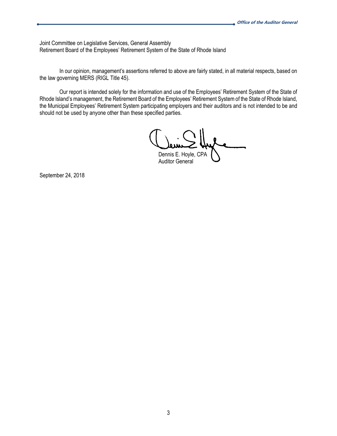Joint Committee on Legislative Services, General Assembly Retirement Board of the Employees' Retirement System of the State of Rhode Island

In our opinion, management's assertions referred to above are fairly stated, in all material respects, based on the law governing MERS (RIGL Title 45).

Our report is intended solely for the information and use of the Employees' Retirement System of the State of Rhode Island's management, the Retirement Board of the Employees' Retirement System of the State of Rhode Island, the Municipal Employees' Retirement System participating employers and their auditors and is not intended to be and should not be used by anyone other than these specified parties.

Dennis E. Hoyle, Auditor General

September 24, 2018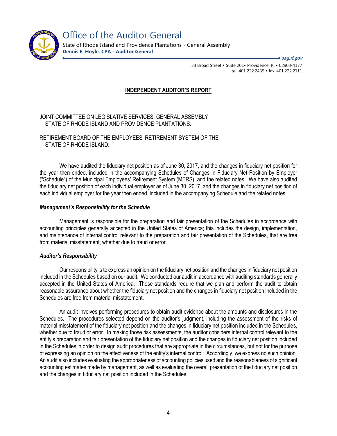

Office of the Auditor General State of Rhode Island and Providence Plantations - General Assembly **Dennis E. Hoyle, CPA - Auditor General**

> 33 Broad Street • Suite 201• Providence, RI • 02903-4177 tel: 401.222.2435 • fax: 401.222.2111 **oag.ri.gov**

#### **INDEPENDENT AUDITOR'S REPORT**

#### JOINT COMMITTEE ON LEGISLATIVE SERVICES, GENERAL ASSEMBLY STATE OF RHODE ISLAND AND PROVIDENCE PLANTATIONS:

#### RETIREMENT BOARD OF THE EMPLOYEES' RETIREMENT SYSTEM OF THE STATE OF RHODE ISLAND:

We have audited the fiduciary net position as of June 30, 2017, and the changes in fiduciary net position for the year then ended, included in the accompanying Schedules of Changes in Fiduciary Net Position by Employer ("Schedule") of the Municipal Employees' Retirement System (MERS), and the related notes. We have also audited the fiduciary net position of each individual employer as of June 30, 2017, and the changes in fiduciary net position of each individual employer for the year then ended, included in the accompanying Schedule and the related notes.

#### *Management's Responsibility for the Schedule*

Management is responsible for the preparation and fair presentation of the Schedules in accordance with accounting principles generally accepted in the United States of America; this includes the design, implementation, and maintenance of internal control relevant to the preparation and fair presentation of the Schedules, that are free from material misstatement, whether due to fraud or error.

#### *Auditor's Responsibility*

Our responsibility is to express an opinion on the fiduciary net position and the changes in fiduciary net position included in the Schedules based on our audit. We conducted our audit in accordance with auditing standards generally accepted in the United States of America. Those standards require that we plan and perform the audit to obtain reasonable assurance about whether the fiduciary net position and the changes in fiduciary net position included in the Schedules are free from material misstatement.

An audit involves performing procedures to obtain audit evidence about the amounts and disclosures in the Schedules. The procedures selected depend on the auditor's judgment, including the assessment of the risks of material misstatement of the fiduciary net position and the changes in fiduciary net position included in the Schedules, whether due to fraud or error. In making those risk assessments, the auditor considers internal control relevant to the entity's preparation and fair presentation of the fiduciary net position and the changes in fiduciary net position included in the Schedules in order to design audit procedures that are appropriate in the circumstances, but not for the purpose of expressing an opinion on the effectiveness of the entity's internal control. Accordingly, we express no such opinion. An audit also includes evaluating the appropriateness of accounting policies used and the reasonableness of significant accounting estimates made by management, as well as evaluating the overall presentation of the fiduciary net position and the changes in fiduciary net position included in the Schedules.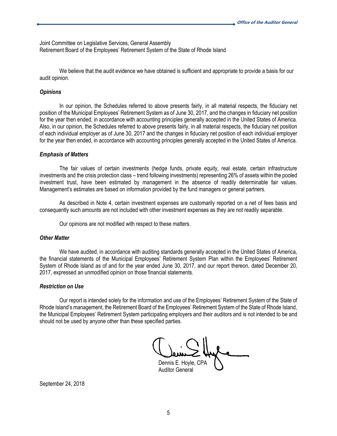Joint Committee on Legislative Services, General Assembly Retirement Board of the Employees' Retirement System of the State of Rhode Island

We believe that the audit evidence we have obtained is sufficient and appropriate to provide a basis for our audit opinion.

#### *Opinions*

In our opinion, the Schedules referred to above presents fairly, in all material respects, the fiduciary net position of the Municipal Employees' Retirement System as of June 30, 2017, and the changes in fiduciary net position for the year then ended, in accordance with accounting principles generally accepted in the United States of America. Also, in our opinion, the Schedules referred to above presents fairly, in all material respects, the fiduciary net position of each individual employer as of June 30, 2017 and the changes in fiduciary net position of each individual employer for the year then ended, in accordance with accounting principles generally accepted in the United States of America.

#### *Emphasis of Matters*

The fair values of certain investments (hedge funds, private equity, real estate, certain infrastructure investments and the crisis protection class – trend following investments) representing 26% of assets within the pooled investment trust, have been estimated by management in the absence of readily determinable fair values. Management's estimates are based on information provided by the fund managers or general partners.

As described in Note 4, certain investment expenses are customarily reported on a net of fees basis and consequently such amounts are not included with other investment expenses as they are not readily separable.

Our opinions are not modified with respect to these matters.

#### *Other Matter*

We have audited, in accordance with auditing standards generally accepted in the United States of America, the financial statements of the Municipal Employees' Retirement System Plan within the Employees' Retirement System of Rhode Island as of and for the year ended June 30, 2017, and our report thereon, dated December 20, 2017, expressed an unmodified opinion on those financial statements.

#### *Restriction on Use*

Our report is intended solely for the information and use of the Employees' Retirement System of the State of Rhode Island's management, the Retirement Board of the Employees' Retirement System of the State of Rhode Island, the Municipal Employees' Retirement System participating employers and their auditors and is not intended to be and should not be used by anyone other than these specified parties.

Dennis E. Hoyle, CPA Auditor General

September 24, 2018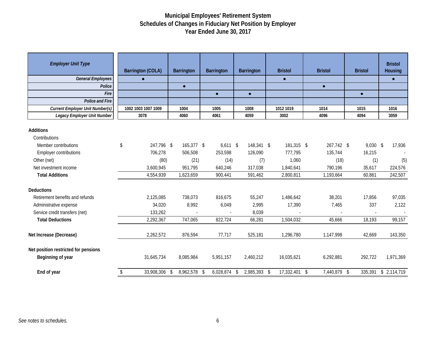| <b>Employer Unit Type</b>                                 | <b>Barrington (COLA)</b> | <b>Barrington</b> |              | <b>Barrington</b> |            | <b>Barrington</b> | <b>Bristol</b> | <b>Bristol</b> | <b>Bristol</b>       | <b>Bristol</b><br><b>Housing</b> |
|-----------------------------------------------------------|--------------------------|-------------------|--------------|-------------------|------------|-------------------|----------------|----------------|----------------------|----------------------------------|
| <b>General Employees</b>                                  | $\bullet$                |                   |              |                   |            |                   | $\bullet$      |                |                      | $\bullet$                        |
| Police                                                    |                          | $\bullet$         |              |                   |            |                   |                | $\bullet$      |                      |                                  |
| Fire                                                      |                          |                   |              | $\bullet$         |            | $\bullet$         |                |                | $\bullet$            |                                  |
| <b>Police and Fire</b>                                    |                          |                   |              |                   |            |                   |                |                |                      |                                  |
| <b>Current Employer Unit Number(s)</b>                    | 1002 1003 1007 1009      | 1004              |              | 1005              |            | 1008              | 1012 1019      | 1014           | 1015                 | 1016                             |
| Legacy Employer Unit Number                               | 3078                     | 4060              |              | 4061              |            | 4059              | 3002           | 4096           | 4094                 | 3059                             |
| <b>Additions</b><br>Contributions                         |                          |                   |              |                   |            |                   |                |                |                      |                                  |
| Member contributions                                      | \$<br>247,796 \$         |                   | 165,377 \$   | $6,611$ \$        |            | 148,341 \$        | 181,315 \$     | 267,742 \$     | $9,030$ \$           | 17,936                           |
| <b>Employer contributions</b>                             | 706,278                  |                   | 506,508      | 253,598           |            | 126,090           | 777,795        | 135,744        | 16,215               |                                  |
| Other (net)                                               | (80)                     |                   | (21)         | (14)              |            | (7)               | 1,060          | (18)           | (1)                  | (5)                              |
| Net investment income                                     | 3,600,945                |                   | 951,795      | 640,246           |            | 317,038           | 1,840,641      | 790,196        | 35,617               | 224,576                          |
| <b>Total Additions</b>                                    | 4,554,939                |                   | 1,623,659    | 900,441           |            | 591,462           | 2,800,811      | 1,193,664      | 60,861               | 242,507                          |
| <b>Deductions</b>                                         |                          |                   |              |                   |            |                   |                |                |                      |                                  |
| Retirement benefits and refunds                           | 2,125,085                |                   | 738,073      | 816,675           |            | 55,247            | 1,486,642      | 38,201         | 17,856               | 97,035                           |
| Administrative expense                                    | 34,020                   |                   | 8,992        | 6,049             |            | 2,995             | 17,390         | 7,465          | 337                  | 2,122                            |
| Service credit transfers (net)                            | 133,262                  |                   |              |                   |            | 8,039             |                |                |                      |                                  |
| <b>Total Deductions</b>                                   | 2,292,367                |                   | 747,065      | 822,724           |            | 66,281            | 1,504,032      | 45,666         | 18,193               | 99,157                           |
| Net Increase (Decrease)                                   | 2,262,572                |                   | 876,594      | 77,717            |            | 525,181           | 1,296,780      | 1,147,998      | 42,669               | 143,350                          |
| Net position restricted for pensions<br>Beginning of year | 31,645,734               |                   | 8,085,984    | 5,951,157         |            | 2,460,212         | 16,035,621     | 6,292,881      | 292,722              | 1,971,369                        |
| End of year                                               | \$<br>33,908,306 \$      |                   | 8,962,578 \$ | 6,028,874         | $\sqrt{3}$ | 2,985,393 \$      | 17,332,401 \$  | 7,440,879 \$   | 335,391 \$ 2,114,719 |                                  |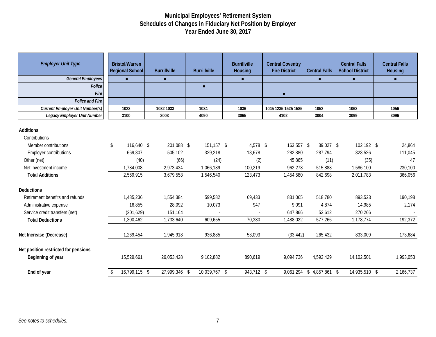| <b>Employer Unit Type</b>                                 | <b>Bristol/Warren</b><br><b>Regional School</b> |      | <b>Burrillville</b> | <b>Burrillville</b> | <b>Burrillville</b><br><b>Housing</b> | <b>Central Coventry</b><br><b>Fire District</b> | <b>Central Falls</b> | <b>Central Falls</b><br><b>School District</b> | <b>Central Falls</b><br>Housing |
|-----------------------------------------------------------|-------------------------------------------------|------|---------------------|---------------------|---------------------------------------|-------------------------------------------------|----------------------|------------------------------------------------|---------------------------------|
| <b>General Employees</b>                                  | $\bullet$                                       |      | $\bullet$           |                     | $\bullet$                             |                                                 | $\bullet$            | $\bullet$                                      | $\bullet$                       |
| Police                                                    |                                                 |      |                     | $\bullet$           |                                       |                                                 |                      |                                                |                                 |
| Fire                                                      |                                                 |      |                     |                     |                                       | $\bullet$                                       |                      |                                                |                                 |
| <b>Police and Fire</b>                                    |                                                 |      |                     |                     |                                       |                                                 |                      |                                                |                                 |
| <b>Current Employer Unit Number(s)</b>                    | 1023                                            |      | 1032 1033           | 1034                | 1036                                  | 1045 1235 1525 1585                             | 1052                 | 1063                                           | 1056                            |
| Legacy Employer Unit Number                               | 3100                                            | 3003 |                     | 4090                | 3065                                  | 4102                                            | 3004                 | 3099                                           | 3096                            |
| <b>Additions</b><br>Contributions                         |                                                 |      |                     |                     |                                       |                                                 |                      |                                                |                                 |
| Member contributions                                      | \$<br>116,640 \$                                |      | 201,088 \$          | $151,157$ \$        | $4,578$ \$                            | $163,557$ \$                                    | 39,027 \$            | 102,192 \$                                     | 24,864                          |
| <b>Employer contributions</b>                             | 669,307                                         |      | 505,102             | 329,218             | 18,678                                | 282,880                                         | 287,794              | 323,526                                        | 111,045                         |
| Other (net)                                               | (40)                                            |      | (66)                | (24)                | (2)                                   | 45,865                                          | (11)                 | (35)                                           | 47                              |
| Net investment income                                     | 1,784,008                                       |      | 2,973,434           | 1,066,189           | 100,219                               | 962,278                                         | 515,888              | 1,586,100                                      | 230,100                         |
| <b>Total Additions</b>                                    | 2,569,915                                       |      | 3,679,558           | 1,546,540           | 123,473                               | 1,454,580                                       | 842,698              | 2,011,783                                      | 366,056                         |
| Deductions                                                |                                                 |      |                     |                     |                                       |                                                 |                      |                                                |                                 |
| Retirement benefits and refunds                           | 1,485,236                                       |      | 1,554,384           | 599,582             | 69,433                                | 831,065                                         | 518,780              | 893,523                                        | 190,198                         |
| Administrative expense                                    | 16,855                                          |      | 28,092              | 10,073              | 947                                   | 9,091                                           | 4,874                | 14,985                                         | 2,174                           |
| Service credit transfers (net)                            | (201, 629)                                      |      | 151,164             |                     |                                       | 647,866                                         | 53,612               | 270,266                                        |                                 |
| <b>Total Deductions</b>                                   | 1,300,462                                       |      | 1,733,640           | 609,655             | 70,380                                | 1,488,022                                       | 577,266              | 1,178,774                                      | 192,372                         |
| Net Increase (Decrease)                                   | 1,269,454                                       |      | 1,945,918           | 936,885             | 53,093                                | (33, 442)                                       | 265,432              | 833,009                                        | 173,684                         |
| Net position restricted for pensions<br>Beginning of year | 15,529,661                                      |      | 26,053,428          | 9,102,882           | 890,619                               | 9,094,736                                       | 4,592,429            | 14,102,501                                     | 1,993,053                       |
| End of year                                               | 16,799,115 \$                                   |      | 27,999,346 \$       | 10,039,767 \$       | 943,712 \$                            | 9,061,294 \$4,857,861 \$                        |                      | 14,935,510 \$                                  | 2,166,737                       |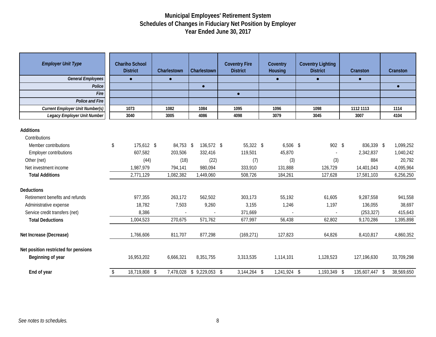| <b>Employer Unit Type</b>                                 | <b>Chariho School</b><br><b>District</b> | Charlestown               | Charlestown | <b>Coventry Fire</b><br><b>District</b> | Coventry<br>Housing | <b>Coventry Lighting</b><br><b>District</b> | Cranston       | Cranston   |
|-----------------------------------------------------------|------------------------------------------|---------------------------|-------------|-----------------------------------------|---------------------|---------------------------------------------|----------------|------------|
| <b>General Employees</b>                                  | $\bullet$                                | $\bullet$                 |             |                                         | $\bullet$           | $\bullet$                                   | $\bullet$      |            |
| Police                                                    |                                          |                           | $\bullet$   |                                         |                     |                                             |                | $\bullet$  |
| Fire                                                      |                                          |                           |             | $\bullet$                               |                     |                                             |                |            |
| <b>Police and Fire</b>                                    |                                          |                           |             |                                         |                     |                                             |                |            |
| <b>Current Employer Unit Number(s)</b>                    | 1073                                     | 1082                      | 1084        | 1095                                    | 1096                | 1098                                        | 1112 1113      | 1114       |
| Legacy Employer Unit Number                               | 3040                                     | 3005                      | 4086        | 4098                                    | 3079                | 3045                                        | 3007           | 4104       |
| <b>Additions</b><br>Contributions                         |                                          |                           |             |                                         |                     |                                             |                |            |
| Member contributions                                      | \$<br>175,612 \$                         | 84,753 \$                 | 136,572 \$  | 55,322 \$                               | $6,506$ \$          | 902 \$                                      | 836,339 \$     | 1,099,252  |
| <b>Employer contributions</b>                             | 607,582                                  | 203,506                   | 332,416     | 119,501                                 | 45,870              |                                             | 2,342,837      | 1,040,242  |
| Other (net)                                               | (44)                                     | (18)                      | (22)        | (7)                                     | (3)                 | (3)                                         | 884            | 20,792     |
| Net investment income                                     | 1,987,979                                | 794,141                   | 980,094     | 333,910                                 | 131,888             | 126,729                                     | 14,401,043     | 4,095,964  |
| <b>Total Additions</b>                                    | 2,771,129                                | 1,082,382                 | 1,449,060   | 508,726                                 | 184,261             | 127,628                                     | 17,581,103     | 6,256,250  |
| <b>Deductions</b>                                         |                                          |                           |             |                                         |                     |                                             |                |            |
| Retirement benefits and refunds                           | 977,355                                  | 263,172                   | 562,502     | 303,173                                 | 55,192              | 61,605                                      | 9,287,558      | 941,558    |
| Administrative expense                                    | 18,782                                   | 7,503                     | 9,260       | 3,155                                   | 1,246               | 1,197                                       | 136,055        | 38,697     |
| Service credit transfers (net)                            | 8,386                                    | $\sim$                    |             | 371,669                                 |                     |                                             | (253, 327)     | 415,643    |
| <b>Total Deductions</b>                                   | 1,004,523                                | 270,675                   | 571,762     | 677,997                                 | 56,438              | 62,802                                      | 9,170,286      | 1,395,898  |
| Net Increase (Decrease)                                   | 1,766,606                                | 811,707                   | 877,298     | (169, 271)                              | 127,823             | 64,826                                      | 8,410,817      | 4,860,352  |
| Net position restricted for pensions<br>Beginning of year | 16,953,202                               | 6,666,321                 | 8,351,755   | 3,313,535                               | 1,114,101           | 1,128,523                                   | 127,196,630    | 33,709,298 |
| End of year                                               | \$<br>18,719,808 \$                      | 7,478,028 \$ 9,229,053 \$ |             | $3,144,264$ \$                          | 1,241,924 \$        | 1,193,349 \$                                | 135,607,447 \$ | 38,569,650 |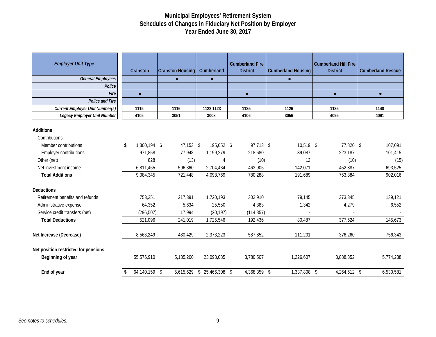| <b>Employer Unit Type</b>                                 | Cranston           | Cranston Housing | Cumberland                 | <b>Cumberland Fire</b><br><b>District</b> | <b>Cumberland Housing</b> | <b>Cumberland Hill Fire</b><br><b>District</b> | <b>Cumberland Rescue</b> |
|-----------------------------------------------------------|--------------------|------------------|----------------------------|-------------------------------------------|---------------------------|------------------------------------------------|--------------------------|
| <b>General Employees</b>                                  |                    | $\bullet$        | $\bullet$                  |                                           | $\bullet$                 |                                                |                          |
| Police                                                    |                    |                  |                            |                                           |                           |                                                |                          |
| Fire                                                      | $\bullet$          |                  |                            | $\bullet$                                 |                           | $\bullet$                                      | $\bullet$                |
| <b>Police and Fire</b>                                    |                    |                  |                            |                                           |                           |                                                |                          |
| Current Employer Unit Number(s)                           | 1115               | 1116             | 1122 1123                  | 1125                                      | 1126                      | 1135                                           | 1148                     |
| Legacy Employer Unit Number                               | 4105               | 3051             | 3008                       | 4106                                      | 3056                      | 4095                                           | 4091                     |
| <b>Additions</b><br>Contributions                         |                    |                  |                            |                                           |                           |                                                |                          |
| Member contributions                                      | \$<br>1,300,194 \$ | $47,153$ \$      | 195,052 \$                 | 97,713 \$                                 | 10,519 \$                 | 77,820 \$                                      | 107,091                  |
| <b>Employer contributions</b>                             | 971,858            | 77,948           | 1,199,279                  | 218,680                                   | 39,087                    | 223,187                                        | 101,415                  |
| Other (net)                                               | 828                | (13)             | $\overline{4}$             | (10)                                      | 12                        | (10)                                           | (15)                     |
| Net investment income                                     | 6,811,465          | 596,360          | 2,704,434                  | 463,905                                   | 142,071                   | 452,887                                        | 693,525                  |
| <b>Total Additions</b>                                    | 9,084,345          | 721,448          | 4,098,769                  | 780,288                                   | 191,689                   | 753,884                                        | 902,016                  |
| Deductions                                                |                    |                  |                            |                                           |                           |                                                |                          |
| Retirement benefits and refunds                           | 753,251            | 217,391          | 1,720,193                  | 302,910                                   | 79,145                    | 373,345                                        | 139,121                  |
| Administrative expense                                    | 64,352             | 5,634            | 25,550                     | 4,383                                     | 1,342                     | 4,279                                          | 6,552                    |
| Service credit transfers (net)                            | (296, 507)         | 17,994           | (20, 197)                  | (114, 857)                                |                           |                                                |                          |
| <b>Total Deductions</b>                                   | 521,096            | 241,019          | 1,725,546                  | 192,436                                   | 80,487                    | 377,624                                        | 145,673                  |
| Net Increase (Decrease)                                   | 8,563,249          | 480,429          | 2,373,223                  | 587,852                                   | 111,201                   | 376,260                                        | 756,343                  |
| Net position restricted for pensions<br>Beginning of year | 55,576,910         | 5,135,200        | 23,093,085                 | 3,780,507                                 | 1,226,607                 | 3,888,352                                      | 5,774,238                |
| End of year                                               | 64,140,159 \$      |                  | 5,615,629 \$ 25,466,308 \$ | 4,368,359 \$                              | 1,337,808 \$              | 4,264,612 \$                                   | 6,530,581                |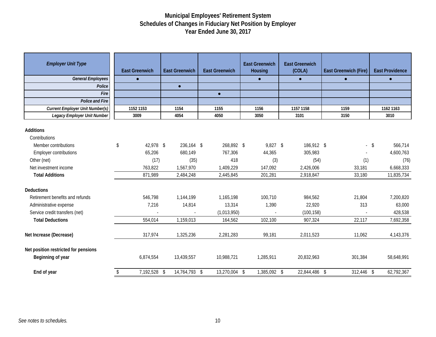| <b>Employer Unit Type</b>                                 | <b>East Greenwich</b> | <b>East Greenwich</b> | <b>East Greenwich</b> | <b>East Greenwich</b><br>Housing | <b>East Greenwich</b><br>(COLA) | <b>East Greenwich (Fire)</b> | <b>East Providence</b> |
|-----------------------------------------------------------|-----------------------|-----------------------|-----------------------|----------------------------------|---------------------------------|------------------------------|------------------------|
| <b>General Employees</b>                                  | $\bullet$             |                       |                       | $\bullet$                        | $\bullet$                       | $\bullet$                    | $\bullet$              |
| Police                                                    |                       | $\bullet$             |                       |                                  |                                 |                              |                        |
| Fire                                                      |                       |                       | $\bullet$             |                                  |                                 |                              |                        |
| <b>Police and Fire</b>                                    |                       |                       |                       |                                  |                                 |                              |                        |
| Current Employer Unit Number(s)                           | 1152 1153             | 1154                  | 1155                  | 1156                             | 1157 1158                       | 1159                         | 1162 1163              |
| Legacy Employer Unit Number                               | 3009                  | 4054                  | 4050                  | 3050                             | 3101                            | 3150                         | 3010                   |
| <b>Additions</b><br>Contributions                         |                       |                       |                       |                                  |                                 |                              |                        |
| Member contributions                                      | \$<br>42,978 \$       | 236,164 \$            | 268,892 \$            | $9,827$ \$                       | 186,912 \$                      | $-$ \$                       | 566,714                |
| <b>Employer contributions</b>                             | 65,206                | 680,149               | 767,306               | 44,365                           | 305,983                         |                              | 4,600,763              |
| Other (net)                                               | (17)                  | (35)                  | 418                   | (3)                              | (54)                            | (1)                          | (76)                   |
| Net investment income                                     | 763,822               | 1,567,970             | 1,409,229             | 147,092                          | 2,426,006                       | 33,181                       | 6,668,333              |
| <b>Total Additions</b>                                    | 871,989               | 2,484,248             | 2,445,845             | 201,281                          | 2,918,847                       | 33,180                       | 11,835,734             |
| Deductions                                                |                       |                       |                       |                                  |                                 |                              |                        |
| Retirement benefits and refunds                           | 546,798               | 1,144,199             | 1,165,198             | 100,710                          | 984,562                         | 21,804                       | 7,200,820              |
| Administrative expense                                    | 7,216                 | 14,814                | 13,314                | 1,390                            | 22,920                          | 313                          | 63,000                 |
| Service credit transfers (net)                            |                       |                       | (1,013,950)           |                                  | (100, 158)                      |                              | 428,538                |
| <b>Total Deductions</b>                                   | 554,014               | 1,159,013             | 164,562               | 102,100                          | 907,324                         | 22,117                       | 7,692,358              |
| Net Increase (Decrease)                                   | 317,974               | 1,325,236             | 2,281,283             | 99,181                           | 2,011,523                       | 11,062                       | 4,143,376              |
| Net position restricted for pensions<br>Beginning of year | 6,874,554             | 13,439,557            | 10,988,721            | 1,285,911                        | 20,832,963                      | 301,384                      | 58,648,991             |
| End of year                                               | \$<br>7,192,528 \$    | 14,764,793 \$         | 13,270,004 \$         | 1,385,092 \$                     | 22,844,486 \$                   | 312,446 \$                   | 62,792,367             |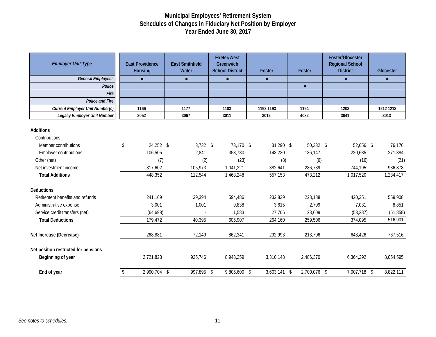| <b>Employer Unit Type</b>                                 |    | <b>East Providence</b><br>Housing | <b>East Smithfield</b><br>Water | <b>Exeter/West</b><br>Greenwich<br><b>School District</b> | Foster         | Foster       | <b>Foster/Glocester</b><br><b>Regional School</b><br><b>District</b> | Glocester              |
|-----------------------------------------------------------|----|-----------------------------------|---------------------------------|-----------------------------------------------------------|----------------|--------------|----------------------------------------------------------------------|------------------------|
| <b>General Employees</b>                                  |    | $\bullet$                         | $\bullet$                       | $\bullet$                                                 | $\bullet$      |              | $\bullet$                                                            | $\bullet$              |
| Police                                                    |    |                                   |                                 |                                                           |                | $\bullet$    |                                                                      |                        |
| Fire                                                      |    |                                   |                                 |                                                           |                |              |                                                                      |                        |
| <b>Police and Fire</b>                                    |    |                                   |                                 |                                                           |                |              |                                                                      |                        |
| <b>Current Employer Unit Number(s)</b>                    |    | 1166                              | 1177                            | 1183                                                      | 1192 1193      | 1194         | 1203                                                                 | 1212 1213              |
| Legacy Employer Unit Number                               |    | 3052                              | 3067                            | 3011                                                      | 3012           | 4082         | 3041                                                                 | 3013                   |
| <b>Additions</b><br>Contributions                         |    |                                   |                                 |                                                           |                |              |                                                                      |                        |
| Member contributions                                      | \$ | $24,252$ \$                       | $3,732$ \$                      | 73,170 \$                                                 | $31,290$ \$    | $50,332$ \$  | $52,656$ \$                                                          | 76,176                 |
| <b>Employer contributions</b>                             |    | 106,505                           | 2,841                           | 353,780                                                   | 143,230        | 136,147      | 220,685                                                              | 271,384                |
| Other (net)                                               |    | (7)                               | (2)                             | (23)                                                      | (8)            | (6)          | (16)                                                                 | (21)                   |
| Net investment income                                     |    | 317,602                           | 105,973                         | 1,041,321                                                 | 382,641        | 286,739      | 744,195                                                              | 936,878                |
| <b>Total Additions</b>                                    |    | 448,352                           | 112,544                         | 1,468,248                                                 | 557,153        | 473,212      | 1,017,520                                                            | 1,284,417              |
| Deductions                                                |    |                                   |                                 |                                                           |                |              |                                                                      |                        |
| Retirement benefits and refunds                           |    | 241,169                           | 39,394                          | 594,486                                                   | 232,839        | 228,188      | 420,351                                                              | 559,908                |
| Administrative expense                                    |    | 3,001                             | 1,001                           | 9,838                                                     | 3,615          | 2,709        | 7,031                                                                | 8,851                  |
| Service credit transfers (net)                            |    | (64, 698)                         |                                 | 1,583                                                     | 27,706         | 28,609       | (53, 287)                                                            | (51, 858)              |
| <b>Total Deductions</b>                                   |    | 179,472                           | 40,395                          | 605,907                                                   | 264,160        | 259,506      | 374,095                                                              | 516,901                |
| Net Increase (Decrease)                                   |    | 268,881                           | 72,149                          | 862,341                                                   | 292,993        | 213,706      | 643,426                                                              | 767,516                |
| Net position restricted for pensions<br>Beginning of year |    | 2,721,823                         | 925,746                         | 8,943,259                                                 | 3,310,148      | 2,486,370    | 6,364,292                                                            | 8,054,595              |
| End of year                                               | s. | 2,990,704 \$                      | 997,895 \$                      | 9,805,600 \$                                              | $3,603,141$ \$ | 2,700,076 \$ | 7,007,718 \$                                                         | $\overline{8,822,111}$ |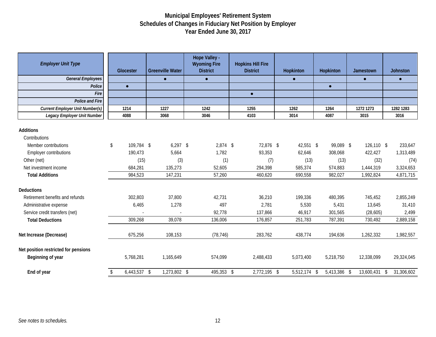| <b>Employer Unit Type</b>                                 |    | Glocester      | <b>Greenville Water</b> | Hope Valley -<br><b>Wyoming Fire</b><br><b>District</b> | <b>Hopkins Hill Fire</b><br><b>District</b> | Hopkinton    | Hopkinton    | Jamestown     | <b>Johnston</b> |
|-----------------------------------------------------------|----|----------------|-------------------------|---------------------------------------------------------|---------------------------------------------|--------------|--------------|---------------|-----------------|
| <b>General Employees</b>                                  |    |                | $\bullet$               | $\bullet$                                               |                                             | $\bullet$    |              | $\bullet$     | $\bullet$       |
| Police                                                    |    | $\bullet$      |                         |                                                         |                                             |              | $\bullet$    |               |                 |
| Fire                                                      |    |                |                         |                                                         | $\bullet$                                   |              |              |               |                 |
| <b>Police and Fire</b>                                    |    |                |                         |                                                         |                                             |              |              |               |                 |
| <b>Current Employer Unit Number(s)</b>                    |    | 1214           | 1227                    | 1242                                                    | 1255                                        | 1262         | 1264         | 1272 1273     | 1282 1283       |
| Legacy Employer Unit Number                               |    | 4088           | 3068                    | 3046                                                    | 4103                                        | 3014         | 4087         | 3015          | 3016            |
| <b>Additions</b><br>Contributions                         |    |                |                         |                                                         |                                             |              |              |               |                 |
| Member contributions                                      | \$ | 109,784 \$     | $6,297$ \$              | $2,874$ \$                                              | 72,876 \$                                   | $42,551$ \$  | 99,089 \$    | $126,110$ \$  | 233,647         |
| <b>Employer contributions</b>                             |    | 190,473        | 5,664                   | 1,782                                                   | 93,353                                      | 62,646       | 308,068      | 422,427       | 1,313,489       |
| Other (net)                                               |    | (15)           | (3)                     | (1)                                                     | (7)                                         | (13)         | (13)         | (32)          | (74)            |
| Net investment income                                     |    | 684,281        | 135,273                 | 52,605                                                  | 294,398                                     | 585,374      | 574,883      | 1,444,319     | 3,324,653       |
| <b>Total Additions</b>                                    |    | 984,523        | 147,231                 | 57,260                                                  | 460,620                                     | 690,558      | 982,027      | 1,992,824     | 4,871,715       |
| Deductions                                                |    |                |                         |                                                         |                                             |              |              |               |                 |
| Retirement benefits and refunds                           |    | 302,803        | 37,800                  | 42,731                                                  | 36,210                                      | 199,336      | 480,395      | 745,452       | 2,855,249       |
| Administrative expense                                    |    | 6,465          | 1,278                   | 497                                                     | 2,781                                       | 5,530        | 5,431        | 13,645        | 31,410          |
| Service credit transfers (net)                            |    |                |                         | 92,778                                                  | 137,866                                     | 46,917       | 301,565      | (28, 605)     | 2,499           |
| <b>Total Deductions</b>                                   |    | 309,268        | 39,078                  | 136,006                                                 | 176,857                                     | 251,783      | 787,391      | 730,492       | 2,889,158       |
| Net Increase (Decrease)                                   |    | 675,256        | 108,153                 | (78, 746)                                               | 283,762                                     | 438,774      | 194,636      | 1,262,332     | 1,982,557       |
| Net position restricted for pensions<br>Beginning of year |    | 5,768,281      | 1,165,649               | 574,099                                                 | 2,488,433                                   | 5,073,400    | 5,218,750    | 12,338,099    | 29,324,045      |
| End of year                                               | S. | $6,443,537$ \$ | 1,273,802 \$            | 495,353 \$                                              | 2,772,195 \$                                | 5,512,174 \$ | 5,413,386 \$ | 13,600,431 \$ | 31,306,602      |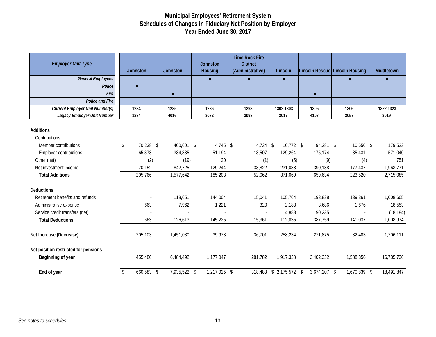| <b>Employer Unit Type</b>              |    | <b>Johnston</b>          | <b>Johnston</b> | Johnston<br>Housing | <b>Lime Rock Fire</b><br><b>District</b><br>(Administrative) | Lincoln                 |              | Lincoln Rescue Lincoln Housing | <b>Middletown</b> |
|----------------------------------------|----|--------------------------|-----------------|---------------------|--------------------------------------------------------------|-------------------------|--------------|--------------------------------|-------------------|
| <b>General Employees</b>               |    |                          |                 | $\bullet$           | $\bullet$                                                    | $\bullet$               |              | $\bullet$                      | $\bullet$         |
| Police                                 |    | $\bullet$                |                 |                     |                                                              |                         |              |                                |                   |
| Fire                                   |    |                          | $\bullet$       |                     |                                                              |                         | $\bullet$    |                                |                   |
| <b>Police and Fire</b>                 |    |                          |                 |                     |                                                              |                         |              |                                |                   |
| <b>Current Employer Unit Number(s)</b> |    | 1284                     | 1285            | 1286                | 1293                                                         | 1302 1303               | 1305         | 1306                           | 1322 1323         |
| Legacy Employer Unit Number            |    | 1284                     | 4016            | 3072                | 3098                                                         | 3017                    | 4107         | 3057                           | 3019              |
| <b>Additions</b><br>Contributions      |    |                          |                 |                     |                                                              |                         |              |                                |                   |
| Member contributions                   | \$ | 70,238 \$                | 400,601 \$      | $4,745$ \$          | $4,734$ \$                                                   | $10,772$ \$             | 94,281 \$    | 10,656 \$                      | 179,523           |
| <b>Employer contributions</b>          |    | 65,378                   | 334,335         | 51,194              | 13,507                                                       | 129,264                 | 175,174      | 35,431                         | 571,040           |
| Other (net)                            |    | (2)                      | (19)            | 20                  | (1)                                                          | (5)                     | (9)          | (4)                            | 751               |
| Net investment income                  |    | 70,152                   | 842,725         | 129,244             | 33,822                                                       | 231,038                 | 390,188      | 177,437                        | 1,963,771         |
| <b>Total Additions</b>                 |    | 205,766                  | 1,577,642       | 185,203             | 52,062                                                       | 371,069                 | 659,634      | 223,520                        | 2,715,085         |
| <b>Deductions</b>                      |    |                          |                 |                     |                                                              |                         |              |                                |                   |
| Retirement benefits and refunds        |    | $\overline{\phantom{a}}$ | 118,651         | 144,004             | 15,041                                                       | 105,764                 | 193,838      | 139,361                        | 1,008,605         |
| Administrative expense                 |    | 663                      | 7,962           | 1,221               | 320                                                          | 2,183                   | 3,686        | 1,676                          | 18,553            |
| Service credit transfers (net)         |    |                          |                 |                     |                                                              | 4,888                   | 190,235      |                                | (18, 184)         |
| <b>Total Deductions</b>                |    | 663                      | 126,613         | 145,225             | 15,361                                                       | 112,835                 | 387,759      | 141,037                        | 1,008,974         |
| Net Increase (Decrease)                |    | 205,103                  | 1,451,030       | 39,978              | 36,701                                                       | 258,234                 | 271,875      | 82,483                         | 1,706,111         |
| Net position restricted for pensions   |    |                          |                 |                     |                                                              |                         |              |                                |                   |
| Beginning of year                      |    | 455,480                  | 6,484,492       | 1,177,047           | 281,782                                                      | 1,917,338               | 3,402,332    | 1,588,356                      | 16,785,736        |
| End of year                            | S. | 660,583 \$               | 7,935,522 \$    | 1,217,025 \$        |                                                              | 318,483 \$ 2,175,572 \$ | 3,674,207 \$ | 1,670,839 \$                   | 18,491,847        |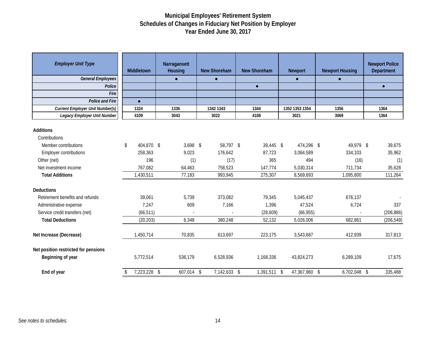| <b>Employer Unit Type</b>                                 |    | Middletown   | Narragansett<br>Housing | <b>New Shoreham</b> | <b>New Shoreham</b> | <b>Newport</b> | <b>Newport Housing</b> | <b>Newport Police</b><br><b>Department</b> |
|-----------------------------------------------------------|----|--------------|-------------------------|---------------------|---------------------|----------------|------------------------|--------------------------------------------|
| <b>General Employees</b>                                  |    |              | $\bullet$               | $\bullet$           |                     | $\bullet$      | $\bullet$              |                                            |
| Police                                                    |    |              |                         |                     | $\bullet$           |                |                        | $\bullet$                                  |
| Fire                                                      |    |              |                         |                     |                     |                |                        |                                            |
| <b>Police and Fire</b>                                    |    | $\bullet$    |                         |                     |                     |                |                        |                                            |
| <b>Current Employer Unit Number(s)</b>                    |    | 1324         | 1336                    | 1342 1343           | 1344                | 1352 1353 1354 | 1356                   | 1364                                       |
| Legacy Employer Unit Number                               |    | 4109         | 3043                    | 3022                | 4108                | 3021           | 3069                   | 1364                                       |
| <b>Additions</b><br>Contributions                         |    |              |                         |                     |                     |                |                        |                                            |
| Member contributions                                      | \$ | 404,870 \$   | $3,698$ \$              | 58,797 \$           | 39,445 \$           | 474,296 \$     | 49,979 \$              | 39,675                                     |
| <b>Employer contributions</b>                             |    | 258,363      | 9,023                   | 176,642             | 87,723              | 3,064,589      | 334,103                | 35,962                                     |
| Other (net)                                               |    | 196          | (1)                     | (17)                | 365                 | 494            | (16)                   | (1)                                        |
| Net investment income                                     |    | 767,082      | 64,463                  | 758,523             | 147,774             | 5,030,314      | 711,734                | 35,628                                     |
| <b>Total Additions</b>                                    |    | 1,430,511    | 77,183                  | 993,945             | 275,307             | 8,569,693      | 1,095,800              | 111,264                                    |
| <b>Deductions</b>                                         |    |              |                         |                     |                     |                |                        |                                            |
| Retirement benefits and refunds                           |    | 39,061       | 5,739                   | 373,082             | 79,345              | 5,045,437      | 676,137                |                                            |
| Administrative expense                                    |    | 7,247        | 609                     | 7,166               | 1,396               | 47,524         | 6,724                  | 337                                        |
| Service credit transfers (net)                            |    | (66, 511)    |                         |                     | (28, 609)           | (66, 955)      |                        | (206, 886)                                 |
| <b>Total Deductions</b>                                   |    | (20, 203)    | 6,348                   | 380,248             | 52,132              | 5,026,006      | 682,861                | (206, 549)                                 |
| Net Increase (Decrease)                                   |    | 1,450,714    | 70,835                  | 613,697             | 223,175             | 3,543,687      | 412,939                | 317,813                                    |
| Net position restricted for pensions<br>Beginning of year |    | 5,772,514    | 536,179                 | 6,528,936           | 1,168,336           | 43,824,273     | 6,289,109              | 17,675                                     |
| End of year                                               | S  | 7,223,228 \$ | 607,014 \$              | 7,142,633 \$        | 1,391,511 \$        | 47,367,960 \$  | $6,702,048$ \$         | 335,488                                    |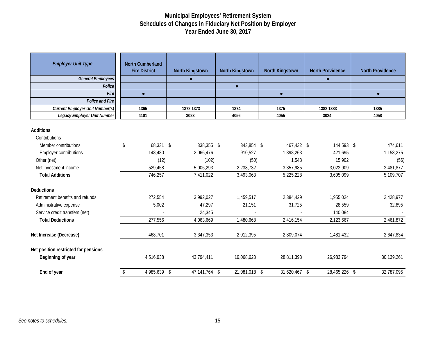| <b>Employer Unit Type</b>                                 | <b>North Cumberland</b><br><b>Fire District</b> | <b>North Kingstown</b> | <b>North Kingstown</b> | <b>North Kingstown</b> | <b>North Providence</b> | <b>North Providence</b> |
|-----------------------------------------------------------|-------------------------------------------------|------------------------|------------------------|------------------------|-------------------------|-------------------------|
| <b>General Employees</b>                                  |                                                 |                        |                        |                        | $\bullet$               |                         |
| Police                                                    |                                                 |                        | $\bullet$              |                        |                         |                         |
| Fire                                                      | $\bullet$                                       |                        |                        | $\bullet$              |                         | $\bullet$               |
| <b>Police and Fire</b>                                    |                                                 |                        |                        |                        |                         |                         |
| <b>Current Employer Unit Number(s)</b>                    | 1365                                            | 1372 1373              | 1374                   | 1375                   | 1382 1383               | 1385                    |
| Legacy Employer Unit Number                               | 4101                                            | 3023                   | 4056                   | 4055                   | 3024                    | 4058                    |
| <b>Additions</b><br>Contributions                         |                                                 |                        |                        |                        |                         |                         |
| Member contributions                                      | \$<br>68,331 \$                                 | 338,355 \$             | 343,854 \$             | 467,432 \$             | 144,593 \$              | 474,611                 |
| <b>Employer contributions</b>                             | 148,480                                         | 2,066,476              | 910,527                | 1,398,263              | 421,695                 | 1,153,275               |
| Other (net)                                               | (12)                                            | (102)                  | (50)                   | 1,548                  | 15,902                  | (56)                    |
| Net investment income                                     | 529,458                                         | 5,006,293              | 2,238,732              | 3,357,985              | 3,022,909               | 3,481,877               |
| <b>Total Additions</b>                                    | 746,257                                         | 7,411,022              | 3,493,063              | 5,225,228              | 3,605,099               | 5,109,707               |
| Deductions                                                |                                                 |                        |                        |                        |                         |                         |
| Retirement benefits and refunds                           | 272,554                                         | 3,992,027              | 1,459,517              | 2,384,429              | 1,955,024               | 2,428,977               |
| Administrative expense                                    | 5,002                                           | 47,297                 | 21,151                 | 31,725                 | 28,559                  | 32,895                  |
| Service credit transfers (net)                            |                                                 | 24,345                 |                        |                        | 140,084                 |                         |
| <b>Total Deductions</b>                                   | 277,556                                         | 4,063,669              | 1,480,668              | 2,416,154              | 2,123,667               | 2,461,872               |
| Net Increase (Decrease)                                   | 468,701                                         | 3,347,353              | 2,012,395              | 2,809,074              | 1,481,432               | 2,647,834               |
| Net position restricted for pensions<br>Beginning of year | 4,516,938                                       | 43,794,411             | 19,068,623             | 28,811,393             | 26,983,794              | 30,139,261              |
| End of year                                               | \$<br>4,985,639 \$                              | 47,141,764 \$          | 21,081,018 \$          | 31,620,467 \$          | 28,465,226 \$           | 32,787,095              |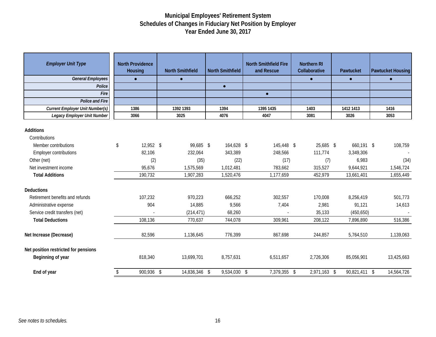| <b>Employer Unit Type</b>                                 |    | <b>North Providence</b><br>Housing | <b>North Smithfield</b> | <b>North Smithfield</b> | <b>North Smithfield Fire</b><br>and Rescue | <b>Northern RI</b><br>Collaborative | Pawtucket     | <b>Pawtucket Housing</b> |
|-----------------------------------------------------------|----|------------------------------------|-------------------------|-------------------------|--------------------------------------------|-------------------------------------|---------------|--------------------------|
| <b>General Employees</b>                                  |    |                                    | $\bullet$               |                         |                                            | $\bullet$                           | $\bullet$     | $\bullet$                |
| Police                                                    |    |                                    |                         | $\bullet$               |                                            |                                     |               |                          |
| Fire                                                      |    |                                    |                         |                         | $\bullet$                                  |                                     |               |                          |
| <b>Police and Fire</b>                                    |    |                                    |                         |                         |                                            |                                     |               |                          |
| <b>Current Employer Unit Number(s)</b>                    |    | 1386                               | 1392 1393               | 1394                    | 1395 1435                                  | 1403                                | 1412 1413     | 1416                     |
| Legacy Employer Unit Number                               |    | 3066                               | 3025                    | 4076                    | 4047                                       | 3081                                | 3026          | 3053                     |
| <b>Additions</b><br>Contributions                         |    |                                    |                         |                         |                                            |                                     |               |                          |
| Member contributions                                      | \$ | $12,952$ \$                        | 99,685 \$               | 164,628 \$              | 145,448 \$                                 | 25,685 \$                           | 660,191 \$    | 108,759                  |
| <b>Employer contributions</b>                             |    | 82,106                             | 232,064                 | 343,389                 | 248,566                                    | 111,774                             | 3,349,306     |                          |
| Other (net)                                               |    | (2)                                | (35)                    | (22)                    | (17)                                       | (7)                                 | 6,983         | (34)                     |
| Net investment income                                     |    | 95,676                             | 1,575,569               | 1,012,481               | 783,662                                    | 315,527                             | 9,644,921     | 1,546,724                |
| <b>Total Additions</b>                                    |    | 190,732                            | 1,907,283               | 1,520,476               | 1,177,659                                  | 452,979                             | 13,661,401    | 1,655,449                |
| <b>Deductions</b>                                         |    |                                    |                         |                         |                                            |                                     |               |                          |
| Retirement benefits and refunds                           |    | 107,232                            | 970,223                 | 666,252                 | 302,557                                    | 170,008                             | 8,256,419     | 501,773                  |
| Administrative expense                                    |    | 904                                | 14,885                  | 9,566                   | 7,404                                      | 2,981                               | 91,121        | 14,613                   |
| Service credit transfers (net)                            |    |                                    | (214, 471)              | 68,260                  |                                            | 35,133                              | (450, 650)    |                          |
| <b>Total Deductions</b>                                   |    | 108,136                            | 770,637                 | 744,078                 | 309,961                                    | 208,122                             | 7,896,890     | 516,386                  |
| Net Increase (Decrease)                                   |    | 82,596                             | 1,136,645               | 776,399                 | 867,698                                    | 244,857                             | 5,764,510     | 1,139,063                |
| Net position restricted for pensions<br>Beginning of year |    | 818,340                            | 13,699,701              | 8,757,631               | 6,511,657                                  | 2,726,306                           | 85,056,901    | 13,425,663               |
| End of year                                               | Ŝ. | 900,936 \$                         | 14,836,346 \$           | 9,534,030 \$            | 7,379,355 \$                               | 2,971,163 \$                        | 90,821,411 \$ | 14,564,726               |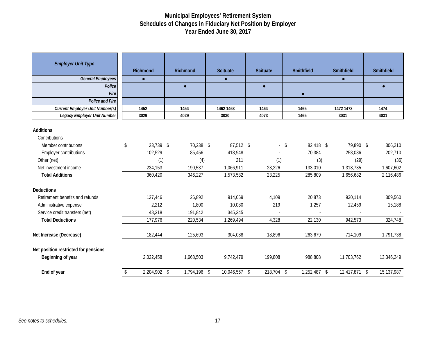| <b>Employer Unit Type</b>                                 | Richmond           | Richmond     | <b>Scituate</b> | <b>Scituate</b> | Smithfield     |      | Smithfield    |      | Smithfield |
|-----------------------------------------------------------|--------------------|--------------|-----------------|-----------------|----------------|------|---------------|------|------------|
| <b>General Employees</b>                                  | $\bullet$          |              | $\bullet$       |                 |                |      | $\bullet$     |      |            |
| Police                                                    |                    | $\bullet$    |                 | $\bullet$       |                |      |               |      | $\bullet$  |
| Fire                                                      |                    |              |                 |                 | $\bullet$      |      |               |      |            |
| <b>Police and Fire</b>                                    |                    |              |                 |                 |                |      |               |      |            |
| Current Employer Unit Number(s)                           | 1452               | 1454         | 1462 1463       | 1464            | 1465           |      | 1472 1473     | 1474 |            |
| Legacy Employer Unit Number                               | 3029               | 4029         | 3030            | 4073            | 1465           | 3031 |               |      | 4031       |
| <b>Additions</b><br>Contributions                         |                    |              |                 |                 |                |      |               |      |            |
| Member contributions                                      | \$<br>23,739 \$    | 70,238 \$    | 87,512 \$       | $-5$            | 82,418 \$      |      | 79,890 \$     |      | 306,210    |
| <b>Employer contributions</b>                             | 102,529            | 85,456       | 418,948         |                 | 70,384         |      | 258,086       |      | 202,710    |
| Other (net)                                               | (1)                | (4)          | 211             | (1)             | (3)            |      | (29)          |      | (36)       |
| Net investment income                                     | 234,153            | 190,537      | 1,066,911       | 23,226          | 133,010        |      | 1,318,735     |      | 1,607,602  |
| <b>Total Additions</b>                                    | 360,420            | 346,227      | 1,573,582       | 23,225          | 285,809        |      | 1,656,682     |      | 2,116,486  |
| Deductions                                                |                    |              |                 |                 |                |      |               |      |            |
| Retirement benefits and refunds                           | 127,446            | 26,892       | 914,069         | 4,109           | 20,873         |      | 930,114       |      | 309,560    |
| Administrative expense                                    | 2,212              | 1,800        | 10,080          | 219             | 1,257          |      | 12,459        |      | 15,188     |
| Service credit transfers (net)                            | 48,318             | 191,842      | 345,345         |                 |                |      |               |      |            |
| <b>Total Deductions</b>                                   | 177,976            | 220,534      | 1,269,494       | 4,328           | 22,130         |      | 942,573       |      | 324,748    |
| Net Increase (Decrease)                                   | 182,444            | 125,693      | 304,088         | 18,896          | 263,679        |      | 714,109       |      | 1,791,738  |
| Net position restricted for pensions<br>Beginning of year | 2,022,458          | 1,668,503    | 9,742,479       | 199,808         | 988,808        |      | 11,703,762    |      | 13,346,249 |
| End of year                                               | \$<br>2,204,902 \$ | 1,794,196 \$ | 10,046,567 \$   | 218,704 \$      | $1,252,487$ \$ |      | 12,417,871 \$ |      | 15,137,987 |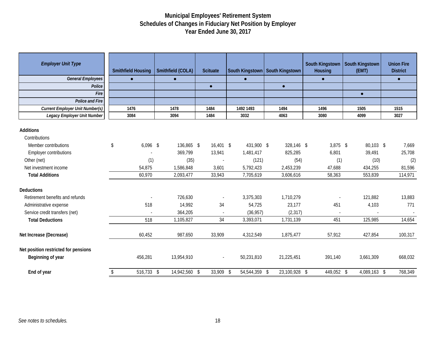| <b>Employer Unit Type</b>                                 | <b>Smithfield Housing</b> | Smithfield (COLA) | <b>Scituate</b> |                        | South Kingstown   South Kingstown | South Kingstown<br><b>Housing</b> | <b>South Kingstown</b><br>(EMT) | <b>Union Fire</b><br><b>District</b> |
|-----------------------------------------------------------|---------------------------|-------------------|-----------------|------------------------|-----------------------------------|-----------------------------------|---------------------------------|--------------------------------------|
| <b>General Employees</b>                                  | $\bullet$                 | $\bullet$         |                 | $\bullet$              |                                   | $\bullet$                         |                                 | $\bullet$                            |
| Police                                                    |                           |                   | $\bullet$       |                        | $\bullet$                         |                                   |                                 |                                      |
| Fire                                                      |                           |                   |                 |                        |                                   |                                   | $\bullet$                       |                                      |
| <b>Police and Fire</b>                                    |                           |                   |                 |                        |                                   |                                   |                                 |                                      |
| <b>Current Employer Unit Number(s)</b>                    | 1476                      | 1478              | 1484            | 1492 1493              | 1494                              | 1496                              | 1505                            | 1515                                 |
| Legacy Employer Unit Number                               | 3084                      | 3094              | 1484            | 3032                   | 4063                              | 3080                              | 4099                            | 3027                                 |
| Additions<br>Contributions                                |                           |                   |                 |                        |                                   |                                   |                                 |                                      |
| Member contributions                                      | \$<br>$6,096$ \$          | 136,865 \$        | $16,401$ \$     | 431,900 \$             | 328,146 \$                        | $3,875$ \$                        | 80,103 \$                       | 7,669                                |
| <b>Employer contributions</b>                             |                           | 369,799           | 13,941          | 1,481,417              | 825,285                           | 6,801                             | 39,491                          | 25,708                               |
| Other (net)                                               | (1)                       | (35)              | $\sim$          | (121)                  | (54)                              | (1)                               | (10)                            | (2)                                  |
| Net investment income                                     | 54,875                    | 1,586,848         | 3,601           | 5,792,423              | 2,453,239                         | 47,688                            | 434,255                         | 81,596                               |
| <b>Total Additions</b>                                    | 60,970                    | 2,093,477         | 33,943          | 7,705,619              | 3,606,616                         | 58,363                            | 553,839                         | 114,971                              |
| Deductions<br>Retirement benefits and refunds             |                           | 726,630           |                 |                        |                                   |                                   | 121,882                         |                                      |
|                                                           |                           |                   | $\sim$          | 3,375,303              | 1,710,279                         | $\overline{\phantom{a}}$          |                                 | 13,883<br>771                        |
| Administrative expense<br>Service credit transfers (net)  | 518                       | 14,992<br>364,205 | 34              | 54,725                 | 23,177<br>(2, 317)                | 451                               | 4,103                           |                                      |
| <b>Total Deductions</b>                                   | 518                       | 1,105,827         | 34              | (36, 957)<br>3,393,071 | 1,731,139                         | 451                               | 125,985                         | 14,654                               |
|                                                           |                           |                   |                 |                        |                                   |                                   |                                 |                                      |
| Net Increase (Decrease)                                   | 60,452                    | 987,650           | 33,909          | 4,312,549              | 1,875,477                         | 57,912                            | 427,854                         | 100,317                              |
| Net position restricted for pensions<br>Beginning of year | 456,281                   | 13,954,910        | $\omega$        | 50,231,810             | 21,225,451                        | 391,140                           | 3,661,309                       | 668,032                              |
|                                                           |                           |                   |                 |                        |                                   |                                   |                                 |                                      |
| End of year                                               | \$<br>516,733 \$          | 14,942,560 \$     | 33,909 \$       | 54,544,359 \$          | 23,100,928 \$                     | 449,052 \$                        | 4,089,163 \$                    | 768,349                              |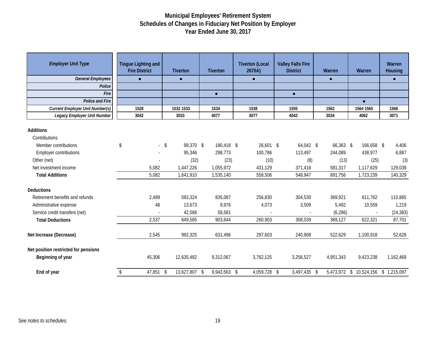| <b>Employer Unit Type</b>                                 | Tiogue Lighting and<br><b>Fire District</b> |        | <b>Tiverton</b> | <b>Tiverton</b> | <b>Tiverton (Local</b><br>2670A) | <b>Valley Falls Fire</b><br><b>District</b> | Warren    | <b>Warren</b>                        | Warren<br>Housing |
|-----------------------------------------------------------|---------------------------------------------|--------|-----------------|-----------------|----------------------------------|---------------------------------------------|-----------|--------------------------------------|-------------------|
| <b>General Employees</b>                                  | $\bullet$                                   |        | $\bullet$       |                 | $\bullet$                        |                                             | $\bullet$ |                                      | $\bullet$         |
| Police                                                    |                                             |        |                 |                 |                                  |                                             |           |                                      |                   |
| Fire                                                      |                                             |        |                 | $\bullet$       |                                  | $\bullet$                                   |           |                                      |                   |
| <b>Police and Fire</b>                                    |                                             |        |                 |                 |                                  |                                             |           | $\bullet$                            |                   |
| <b>Current Employer Unit Number(s)</b>                    | 1528                                        |        | 1532 1533       | 1534            | 1538                             | 1555                                        | 1562      | 1564 1565                            | 1566              |
| Legacy Employer Unit Number                               | 3042                                        |        | 3033            | 4077            | 3077                             | 4042                                        | 3034      | 4062                                 | 3071              |
| <b>Additions</b><br>Contributions                         |                                             |        |                 |                 |                                  |                                             |           |                                      |                   |
| Member contributions                                      | \$                                          | $-$ \$ | 99,370 \$       | 180,418 \$      | $26,601$ \$                      | 64,042 \$                                   | 66,363 \$ | 166,658 \$                           | 4,406             |
| <b>Employer contributions</b>                             |                                             |        | 95,346          | 298,773         | 100,786                          | 113,497                                     | 244,089   | 438,977                              | 6,887             |
| Other (net)                                               |                                             |        | (32)            | (23)            | (10)                             | (8)                                         | (13)      | (25)                                 | (3)               |
| Net investment income                                     | 5,082                                       |        | 1,447,226       | 1,055,972       | 431,129                          | 371,416                                     | 581,317   | 1,117,629                            | 129,039           |
| <b>Total Additions</b>                                    | 5,082                                       |        | 1,641,910       | 1,535,140       | 558,506                          | 548,947                                     | 891,756   | 1,723,239                            | 140,329           |
| Deductions                                                |                                             |        |                 |                 |                                  |                                             |           |                                      |                   |
| Retirement benefits and refunds                           | 2,489                                       |        | 593,324         | 835,087         | 256,830                          | 304,530                                     | 369,921   | 611,762                              | 110,865           |
| Administrative expense                                    | 48                                          |        | 13,673          | 9,976           | 4,073                            | 3,509                                       | 5,492     | 10,559                               | 1,219             |
| Service credit transfers (net)                            |                                             |        | 42,588          | 58,581          |                                  |                                             | (6, 286)  |                                      | (24, 383)         |
| <b>Total Deductions</b>                                   | 2,537                                       |        | 649,585         | 903,644         | 260,903                          | 308,039                                     | 369,127   | 622,321                              | 87,701            |
| Net Increase (Decrease)                                   | 2,545                                       |        | 992,325         | 631,496         | 297,603                          | 240,908                                     | 522,629   | 1,100,918                            | 52,628            |
| Net position restricted for pensions<br>Beginning of year | 45,306                                      |        | 12,635,482      | 9,312,067       | 3,762,125                        | 3,256,527                                   | 4,951,343 | 9,423,238                            | 1,162,469         |
| End of year                                               | \$<br>47,851 \$                             |        | 13,627,807 \$   | 9,943,563 \$    | 4,059,728 \$                     | 3,497,435 \$                                |           | 5,473,972 \$ 10,524,156 \$ 1,215,097 |                   |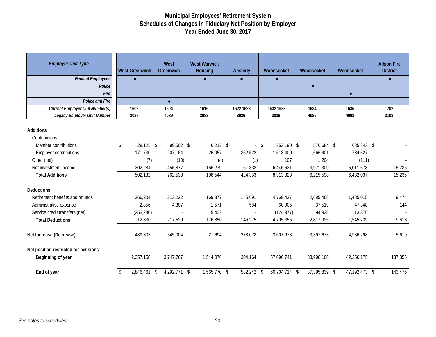| <b>Employer Unit Type</b>                                 | <b>West Greenwich</b> | West<br><b>Greenwich</b> | <b>West Warwick</b><br>Housing | Westerly   | Woonsocket    | Woonsocket    | Woonsocket    | <b>Albion Fire</b><br><b>District</b> |
|-----------------------------------------------------------|-----------------------|--------------------------|--------------------------------|------------|---------------|---------------|---------------|---------------------------------------|
| <b>General Employees</b>                                  | $\bullet$             |                          | $\bullet$                      | $\bullet$  | $\bullet$     |               |               | $\bullet$                             |
| Police                                                    |                       |                          |                                |            |               | $\bullet$     |               |                                       |
| Fire                                                      |                       |                          |                                |            |               |               | $\bullet$     |                                       |
| <b>Police and Fire</b>                                    |                       | $\bullet$                |                                |            |               |               |               |                                       |
| <b>Current Employer Unit Number(s)</b>                    | 1602                  | 1604                     | 1616                           | 1622 1623  | 1632 1633     | 1634          | 1635          | 1702                                  |
| Legacy Employer Unit Number                               | 3037                  | 4089                     | 3083                           | 3036       | 3039          | 4085          | 4093          | 3103                                  |
| <b>Additions</b><br>Contributions                         |                       |                          |                                |            |               |               |               |                                       |
| Member contributions                                      | \$<br>28,125 \$       | 99,502 \$                | $6,212$ \$                     | $-5$       | 353,190 \$    | 576,684 \$    | 685,843 \$    |                                       |
| <b>Employer contributions</b>                             | 171,730               | 207,164                  | 26,057                         | 362,522    | 1,513,400     | 1,666,401     | 784,627       |                                       |
| Other (net)                                               | (7)                   | (10)                     | (4)                            | (1)        | 107           | 1,204         | (111)         |                                       |
| Net investment income                                     | 302,284               | 455,877                  | 166,279                        | 61,832     | 6,446,631     | 3,971,309     | 5,011,678     | 15,236                                |
| <b>Total Additions</b>                                    | 502,132               | 762,533                  | 198,544                        | 424,353    | 8,313,328     | 6,215,598     | 6,482,037     | 15,236                                |
| <b>Deductions</b>                                         |                       |                          |                                |            |               |               |               |                                       |
| Retirement benefits and refunds                           | 266,204               | 213,222                  | 169,877                        | 145,691    | 4,769,427     | 2,685,468     | 1,485,015     | 9,474                                 |
| Administrative expense                                    | 2,856                 | 4,307                    | 1,571                          | 584        | 60,905        | 37,519        | 47,348        | 144                                   |
| Service credit transfers (net)                            | (256, 230)            |                          | 5,402                          |            | (124, 977)    | 94,938        | 13,376        | $\overline{\phantom{a}}$              |
| <b>Total Deductions</b>                                   | 12,830                | 217,529                  | 176,850                        | 146,275    | 4,705,355     | 2,817,925     | 1,545,739     | 9,618                                 |
| Net Increase (Decrease)                                   | 489,303               | 545,004                  | 21,694                         | 278,078    | 3,607,973     | 3,397,673     | 4,936,298     | 5,619                                 |
| Net position restricted for pensions<br>Beginning of year | 2,357,158             | 3,747,767                | 1,544,076                      | 304,164    | 57,096,741    | 33,998,166    | 42,256,175    | 137,856                               |
| End of year                                               | 2,846,461 \$          | 4,292,771 \$             | 1,565,770 \$                   | 582,242 \$ | 60,704,714 \$ | 37,395,839 \$ | 47,192,473 \$ | 143,475                               |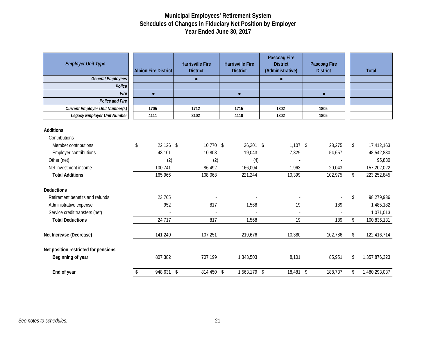| <b>Employer Unit Type</b>                                                                                 | <b>Albion Fire District</b> | <b>Harrisville Fire</b><br><b>District</b> | <b>Harrisville Fire</b><br><b>District</b> | Pascoag Fire<br><b>District</b><br>(Administrative) | <b>Pascoag Fire</b><br><b>District</b> |               | <b>Total</b>                         |
|-----------------------------------------------------------------------------------------------------------|-----------------------------|--------------------------------------------|--------------------------------------------|-----------------------------------------------------|----------------------------------------|---------------|--------------------------------------|
| <b>General Employees</b>                                                                                  |                             | $\bullet$                                  |                                            | $\bullet$                                           |                                        |               |                                      |
| Police                                                                                                    |                             |                                            |                                            |                                                     |                                        |               |                                      |
| Fire                                                                                                      | $\bullet$                   |                                            | $\bullet$                                  |                                                     | $\bullet$                              |               |                                      |
| <b>Police and Fire</b>                                                                                    |                             |                                            |                                            |                                                     |                                        |               |                                      |
| <b>Current Employer Unit Number(s)</b>                                                                    | 1705                        | 1712                                       | 1715                                       | 1802                                                | 1805                                   |               |                                      |
| Legacy Employer Unit Number                                                                               | 4111                        | 3102                                       | 4110                                       | 1802                                                | 1805                                   |               |                                      |
| <b>Additions</b><br>Contributions                                                                         |                             |                                            |                                            |                                                     |                                        |               |                                      |
| Member contributions                                                                                      | \$<br>$22,126$ \$           | $10,770$ \$                                | $36,201$ \$                                | $1,107$ \$                                          | 28,275                                 | \$            | 17,412,163                           |
| Employer contributions                                                                                    | 43,101                      | 10,808                                     | 19,043                                     | 7,329                                               | 54,657                                 |               | 48,542,830                           |
| Other (net)                                                                                               | (2)                         | (2)                                        | (4)                                        |                                                     |                                        |               | 95,830                               |
| Net investment income                                                                                     | 100,741                     | 86,492                                     | 166,004                                    | 1,963                                               | 20,043                                 |               | 157,202,022                          |
| <b>Total Additions</b>                                                                                    | 165,966                     | 108,068                                    | 221,244                                    | 10,399                                              | 102,975                                | \$            | 223,252,845                          |
| Deductions<br>Retirement benefits and refunds<br>Administrative expense<br>Service credit transfers (net) | 23,765<br>952               | 817                                        | 1,568                                      | 19                                                  | 189                                    | \$            | 98,279,936<br>1,485,182<br>1,071,013 |
| <b>Total Deductions</b>                                                                                   | 24,717                      | 817                                        | 1,568                                      | 19                                                  | 189                                    | $\mathsf{\$}$ | 100,836,131                          |
| Net Increase (Decrease)                                                                                   | 141,249                     | 107,251                                    | 219,676                                    | 10,380                                              | 102,786                                | \$            | 122,416,714                          |
| Net position restricted for pensions<br>Beginning of year                                                 | 807,382                     | 707,199                                    | 1,343,503                                  | 8,101                                               | 85,951                                 | \$            | 1,357,876,323                        |
| End of year                                                                                               | \$<br>948,631 \$            | 814,450 \$                                 | 1,563,179 \$                               | 18,481 \$                                           | 188,737                                | \$            | 1,480,293,037                        |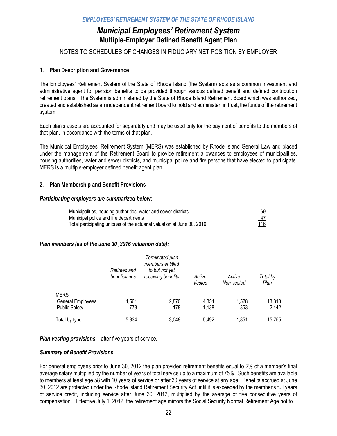## *Municipal Employees' Retirement System*  **Multiple-Employer Defined Benefit Agent Plan**

### NOTES TO SCHEDULES OF CHANGES IN FIDUCIARY NET POSITION BY EMPLOYER

#### **1. Plan Description and Governance**

The Employees' Retirement System of the State of Rhode Island (the System) acts as a common investment and administrative agent for pension benefits to be provided through various defined benefit and defined contribution retirement plans. The System is administered by the State of Rhode Island Retirement Board which was authorized, created and established as an independent retirement board to hold and administer, in trust, the funds of the retirement system.

Each plan's assets are accounted for separately and may be used only for the payment of benefits to the members of that plan, in accordance with the terms of that plan.

The Municipal Employees' Retirement System (MERS) was established by Rhode Island General Law and placed under the management of the Retirement Board to provide retirement allowances to employees of municipalities, housing authorities, water and sewer districts, and municipal police and fire persons that have elected to participate. MERS is a multiple-employer defined benefit agent plan.

#### **2. Plan Membership and Benefit Provisions**

#### *Participating employers are summarized below:*

| Municipalities, housing authorities, water and sewer districts           | 69          |
|--------------------------------------------------------------------------|-------------|
| Municipal police and fire departments                                    |             |
| Total participating units as of the actuarial valuation at June 30, 2016 | <u> 116</u> |

#### *Plan members (as of the June 30 ,2016 valuation date):*

|                          | Retirees and<br>beneficiaries | Terminated plan<br>members entitled<br>to but not yet<br>receiving benefits | Active<br>Vested | Active<br>Non-vested | Total by<br>Plan |
|--------------------------|-------------------------------|-----------------------------------------------------------------------------|------------------|----------------------|------------------|
| <b>MERS</b>              |                               |                                                                             |                  |                      |                  |
| <b>General Employees</b> | 4,561                         | 2,870                                                                       | 4,354            | 1,528                | 13,313           |
| <b>Public Safety</b>     | 773                           | 178                                                                         | 1,138            | 353                  | 2,442            |
| Total by type            | 5,334                         | 3,048                                                                       | 5,492            | 1.851                | 15.755           |

#### *Plan vesting provisions –* after five years of service*.*

#### *Summary of Benefit Provisions*

For general employees prior to June 30, 2012 the plan provided retirement benefits equal to 2% of a member's final average salary multiplied by the number of years of total service up to a maximum of 75%. Such benefits are available to members at least age 58 with 10 years of service or after 30 years of service at any age. Benefits accrued at June 30, 2012 are protected under the Rhode Island Retirement Security Act until it is exceeded by the member's full years of service credit, including service after June 30, 2012, multiplied by the average of five consecutive years of compensation. Effective July 1, 2012, the retirement age mirrors the Social Security Normal Retirement Age not to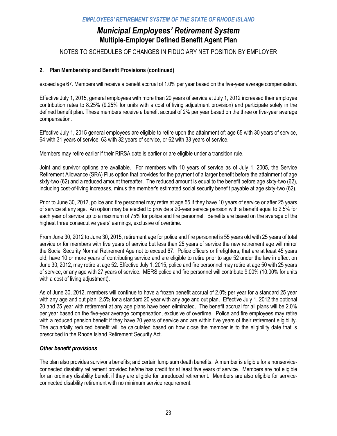## *Municipal Employees' Retirement System*  **Multiple-Employer Defined Benefit Agent Plan**

### NOTES TO SCHEDULES OF CHANGES IN FIDUCIARY NET POSITION BY EMPLOYER

#### **2. Plan Membership and Benefit Provisions (continued)**

exceed age 67. Members will receive a benefit accrual of 1.0% per year based on the five-year average compensation.

Effective July 1, 2015, general employees with more than 20 years of service at July 1, 2012 increased their employee contribution rates to 8.25% (9.25% for units with a cost of living adjustment provision) and participate solely in the defined benefit plan. These members receive a benefit accrual of 2% per year based on the three or five-year average compensation.

Effective July 1, 2015 general employees are eligible to retire upon the attainment of: age 65 with 30 years of service, 64 with 31 years of service, 63 with 32 years of service, or 62 with 33 years of service.

Members may retire earlier if their RIRSA date is earlier or are eligible under a transition rule.

Joint and survivor options are available. For members with 10 years of service as of July 1, 2005, the Service Retirement Allowance (SRA) Plus option that provides for the payment of a larger benefit before the attainment of age sixty-two (62) and a reduced amount thereafter. The reduced amount is equal to the benefit before age sixty-two (62), including cost-of-living increases, minus the member's estimated social security benefit payable at age sixty-two (62).

Prior to June 30, 2012, police and fire personnel may retire at age 55 if they have 10 years of service or after 25 years of service at any age. An option may be elected to provide a 20-year service pension with a benefit equal to 2.5% for each year of service up to a maximum of 75% for police and fire personnel. Benefits are based on the average of the highest three consecutive years' earnings, exclusive of overtime.

From June 30, 2012 to June 30, 2015, retirement age for police and fire personnel is 55 years old with 25 years of total service or for members with five years of service but less than 25 years of service the new retirement age will mirror the Social Security Normal Retirement Age not to exceed 67. Police officers or firefighters, that are at least 45 years old, have 10 or more years of contributing service and are eligible to retire prior to age 52 under the law in effect on June 30, 2012, may retire at age 52. Effective July 1, 2015, police and fire personnel may retire at age 50 with 25 years of service, or any age with 27 years of service. MERS police and fire personnel will contribute 9.00% (10.00% for units with a cost of living adjustment).

As of June 30, 2012, members will continue to have a frozen benefit accrual of 2.0% per year for a standard 25 year with any age and out plan; 2.5% for a standard 20 year with any age and out plan. Effective July 1, 2012 the optional 20 and 25 year with retirement at any age plans have been eliminated. The benefit accrual for all plans will be 2.0% per year based on the five-year average compensation, exclusive of overtime. Police and fire employees may retire with a reduced pension benefit if they have 20 years of service and are within five years of their retirement eligibility. The actuarially reduced benefit will be calculated based on how close the member is to the eligibility date that is prescribed in the Rhode Island Retirement Security Act.

#### *Other benefit provisions*

The plan also provides survivor's benefits; and certain lump sum death benefits. A member is eligible for a nonserviceconnected disability retirement provided he/she has credit for at least five years of service. Members are not eligible for an ordinary disability benefit if they are eligible for unreduced retirement. Members are also eligible for serviceconnected disability retirement with no minimum service requirement.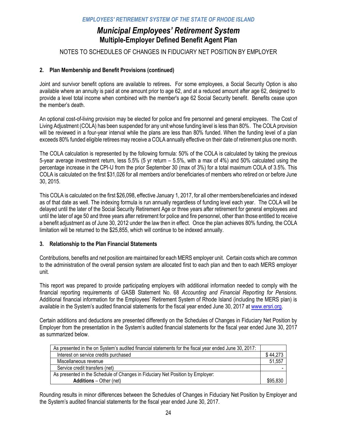## *Municipal Employees' Retirement System*  **Multiple-Employer Defined Benefit Agent Plan**

### NOTES TO SCHEDULES OF CHANGES IN FIDUCIARY NET POSITION BY EMPLOYER

#### **2. Plan Membership and Benefit Provisions (continued)**

Joint and survivor benefit options are available to retirees**.** For some employees, a Social Security Option is also available where an annuity is paid at one amount prior to age 62, and at a reduced amount after age 62, designed to provide a level total income when combined with the member's age 62 Social Security benefit. Benefits cease upon the member's death.

An optional cost-of-living provision may be elected for police and fire personnel and general employees. The Cost of Living Adjustment (COLA) has been suspended for any unit whose funding level is less than 80%. The COLA provision will be reviewed in a four-year interval while the plans are less than 80% funded. When the funding level of a plan exceeds 80% funded eligible retirees may receive a COLA annually effective on their date of retirement plus one month.

The COLA calculation is represented by the following formula: 50% of the COLA is calculated by taking the previous 5-year average investment return, less 5.5% (5 yr return – 5.5%, with a max of 4%) and 50% calculated using the percentage increase in the CPI-U from the prior September 30 (max of 3%) for a total maximum COLA of 3.5%. This COLA is calculated on the first \$31,026 for all members and/or beneficiaries of members who retired on or before June 30, 2015.

This COLA is calculated on the first \$26,098, effective January 1, 2017, for all other members/beneficiaries and indexed as of that date as well. The indexing formula is run annually regardless of funding level each year. The COLA will be delayed until the later of the Social Security Retirement Age or three years after retirement for general employees and until the later of age 50 and three years after retirement for police and fire personnel, other than those entitled to receive a benefit adjustment as of June 30, 2012 under the law then in effect. Once the plan achieves 80% funding, the COLA limitation will be returned to the \$25,855, which will continue to be indexed annually.

#### **3. Relationship to the Plan Financial Statements**

Contributions, benefits and net position are maintained for each MERS employer unit. Certain costs which are common to the administration of the overall pension system are allocated first to each plan and then to each MERS employer unit.

This report was prepared to provide participating employers with additional information needed to comply with the financial reporting requirements of GASB Statement No. 68 *Accounting and Financial Reporting for Pensions.*  Additional financial information for the Employees' Retirement System of Rhode Island (including the MERS plan) is available in the System's audited financial statements for the fiscal year ended June 30, 2017 a[t www.ersri.org.](http://www.ersri.org/)

Certain additions and deductions are presented differently on the Schedules of Changes in Fiduciary Net Position by Employer from the presentation in the System's audited financial statements for the fiscal year ended June 30, 2017 as summarized below.

| As presented in the on System's audited financial statements for the fiscal year ended June 30, 2017: |          |
|-------------------------------------------------------------------------------------------------------|----------|
| Interest on service credits purchased                                                                 | \$44,273 |
| Miscellaneous revenue                                                                                 | 51,557   |
| Service credit transfers (net)                                                                        |          |
| As presented in the Schedule of Changes in Fiduciary Net Position by Employer:                        |          |
| <b>Additions</b> $-$ Other (net)                                                                      | \$95,830 |

Rounding results in minor differences between the Schedules of Changes in Fiduciary Net Position by Employer and the System's audited financial statements for the fiscal year ended June 30, 2017.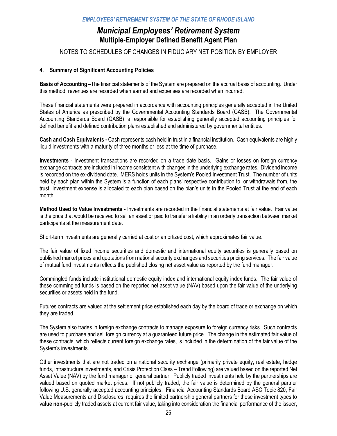## *Municipal Employees' Retirement System*  **Multiple-Employer Defined Benefit Agent Plan**

### NOTES TO SCHEDULES OF CHANGES IN FIDUCIARY NET POSITION BY EMPLOYER

#### **4. Summary of Significant Accounting Policies**

**Basis of Accounting –**The financial statements of the System are prepared on the accrual basis of accounting. Under this method, revenues are recorded when earned and expenses are recorded when incurred.

These financial statements were prepared in accordance with accounting principles generally accepted in the United States of America as prescribed by the Governmental Accounting Standards Board (GASB). The Governmental Accounting Standards Board (GASB) is responsible for establishing generally accepted accounting principles for defined benefit and defined contribution plans established and administered by governmental entities.

**Cash and Cash Equivalents -** Cash represents cash held in trust in a financial institution. Cash equivalents are highly liquid investments with a maturity of three months or less at the time of purchase.

**Investments** - Investment transactions are recorded on a trade date basis. Gains or losses on foreign currency exchange contracts are included in income consistent with changes in the underlying exchange rates. Dividend income is recorded on the ex-dividend date. MERS holds units in the System's Pooled Investment Trust. The number of units held by each plan within the System is a function of each plans' respective contribution to, or withdrawals from, the trust. Investment expense is allocated to each plan based on the plan's units in the Pooled Trust at the end of each month.

**Method Used to Value Investments -** Investments are recorded in the financial statements at fair value. Fair value is the price that would be received to sell an asset or paid to transfer a liability in an orderly transaction between market participants at the measurement date.

Short-term investments are generally carried at cost or amortized cost, which approximates fair value.

The fair value of fixed income securities and domestic and international equity securities is generally based on published market prices and quotations from national security exchanges and securities pricing services. The fair value of mutual fund investments reflects the published closing net asset value as reported by the fund manager.

Commingled funds include institutional domestic equity index and international equity index funds. The fair value of these commingled funds is based on the reported net asset value (NAV) based upon the fair value of the underlying securities or assets held in the fund.

Futures contracts are valued at the settlement price established each day by the board of trade or exchange on which they are traded.

The System also trades in foreign exchange contracts to manage exposure to foreign currency risks. Such contracts are used to purchase and sell foreign currency at a guaranteed future price. The change in the estimated fair value of these contracts, which reflects current foreign exchange rates, is included in the determination of the fair value of the System's investments.

Other investments that are not traded on a national security exchange (primarily private equity, real estate, hedge funds, infrastructure investments, and Crisis Protection Class – Trend Following) are valued based on the reported Net Asset Value (NAV) by the fund manager or general partner. Publicly traded investments held by the partnerships are valued based on quoted market prices. If not publicly traded, the fair value is determined by the general partner following U.S. generally accepted accounting principles. Financial Accounting Standards Board ASC Topic 820, Fair Value Measurements and Disclosures, requires the limited partnership general partners for these investment types to va**lue non-**publicly traded assets at current fair value, taking into consideration the financial performance of the issuer,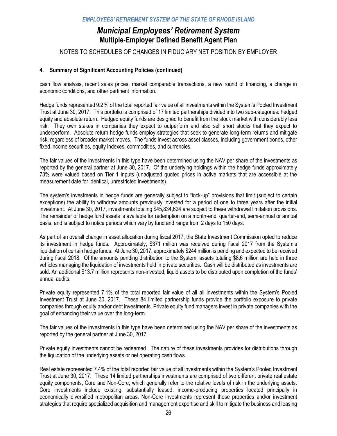## *Municipal Employees' Retirement System*  **Multiple-Employer Defined Benefit Agent Plan**

### NOTES TO SCHEDULES OF CHANGES IN FIDUCIARY NET POSITION BY EMPLOYER

#### **4. Summary of Significant Accounting Policies (continued)**

cash flow analysis, recent sales prices, market comparable transactions, a new round of financing, a change in economic conditions, and other pertinent information.

Hedge funds represented 9.2 % of the total reported fair value of all investments within the System's Pooled Investment Trust at June 30, 2017. This portfolio is comprised of 17 limited partnerships divided into two sub-categories: hedged equity and absolute return. Hedged equity funds are designed to benefit from the stock market with considerably less risk. They own stakes in companies they expect to outperform and also sell short stocks that they expect to underperform. Absolute return hedge funds employ strategies that seek to generate long-term returns and mitigate risk, regardless of broader market moves. The funds invest across asset classes, including government bonds, other fixed income securities, equity indexes, commodities, and currencies.

The fair values of the investments in this type have been determined using the NAV per share of the investments as reported by the general partner at June 30, 2017. Of the underlying holdings within the hedge funds approximately 73% were valued based on Tier 1 inputs (unadjusted quoted prices in active markets that are accessible at the measurement date for identical, unrestricted investments).

The system's investments in hedge funds are generally subject to "lock-up" provisions that limit (subject to certain exceptions) the ability to withdraw amounts previously invested for a period of one to three years after the initial investment. At June 30, 2017, investments totaling \$45,834,624 are subject to these withdrawal limitation provisions. The remainder of hedge fund assets is available for redemption on a month-end, quarter-end, semi-annual or annual basis, and is subject to notice periods which vary by fund and range from 2 days to 150 days.

As part of an overall change in asset allocation during fiscal 2017, the State Investment Commission opted to reduce its investment in hedge funds. Approximately, \$371 million was received during fiscal 2017 from the System's liquidation of certain hedge funds. At June 30, 2017, approximately \$244 million is pending and expected to be received during fiscal 2018. Of the amounts pending distribution to the System, assets totaling \$8.6 million are held in three vehicles managing the liquidation of investments held in private securities. Cash will be distributed as investments are sold. An additional \$13.7 million represents non-invested, liquid assets to be distributed upon completion of the funds' annual audits.

Private equity represented 7.1% of the total reported fair value of all all investments within the System's Pooled Investment Trust at June 30, 2017. These 84 limited partnership funds provide the portfolio exposure to private companies through equity and/or debt investments. Private equity fund managers invest in private companies with the goal of enhancing their value over the long-term.

The fair values of the investments in this type have been determined using the NAV per share of the investments as reported by the general partner at June 30, 2017.

Private equity investments cannot be redeemed. The nature of these investments provides for distributions through the liquidation of the underlying assets or net operating cash flows.

Real estate represented 7.4% of the total reported fair value of all investments within the System's Pooled Investment Trust at June 30, 2017. These 14 limited partnerships investments are comprised of two different private real estate equity components, Core and Non-Core, which generally refer to the relative levels of risk in the underlying assets. Core investments include existing, substantially leased, income-producing properties located principally in economically diversified metropolitan areas. Non-Core investments represent those properties and/or investment strategies that require specialized acquisition and management expertise and skill to mitigate the business and leasing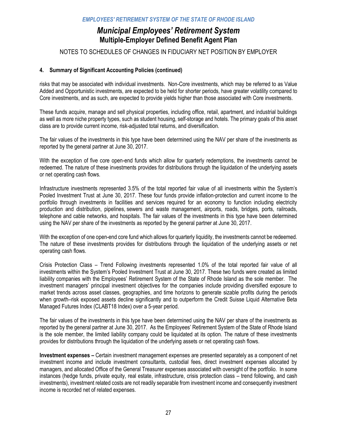## *Municipal Employees' Retirement System*  **Multiple-Employer Defined Benefit Agent Plan**

### NOTES TO SCHEDULES OF CHANGES IN FIDUCIARY NET POSITION BY EMPLOYER

#### **4. Summary of Significant Accounting Policies (continued)**

risks that may be associated with individual investments. Non-Core investments, which may be referred to as Value Added and Opportunistic investments, are expected to be held for shorter periods, have greater volatility compared to Core investments, and as such, are expected to provide yields higher than those associated with Core investments.

These funds acquire, manage and sell physical properties, including office, retail, apartment, and industrial buildings as well as more niche property types, such as student housing, self-storage and hotels. The primary goals of this asset class are to provide current income, risk-adjusted total returns, and diversification.

The fair values of the investments in this type have been determined using the NAV per share of the investments as reported by the general partner at June 30, 2017.

With the exception of five core open-end funds which allow for quarterly redemptions, the investments cannot be redeemed. The nature of these investments provides for distributions through the liquidation of the underlying assets or net operating cash flows.

Infrastructure investments represented 3.5% of the total reported fair value of all investments within the System's Pooled Investment Trust at June 30, 2017. These four funds provide inflation-protection and current income to the portfolio through investments in facilities and services required for an economy to function including electricity production and distribution, pipelines, sewers and waste management, airports, roads, bridges, ports, railroads, telephone and cable networks, and hospitals. The fair values of the investments in this type have been determined using the NAV per share of the investments as reported by the general partner at June 30, 2017.

With the exception of one open-end core fund which allows for quarterly liquidity, the investments cannot be redeemed. The nature of these investments provides for distributions through the liquidation of the underlying assets or net operating cash flows.

Crisis Protection Class – Trend Following investments represented 1.0% of the total reported fair value of all investments within the System's Pooled Investment Trust at June 30, 2017. These two funds were created as limited liability companies with the Employees' Retirement System of the State of Rhode Island as the sole member. The investment managers' principal investment objectives for the companies include providing diversified exposure to market trends across asset classes, geographies, and time horizons to generate sizable profits during the periods when growth–risk exposed assets decline significantly and to outperform the Credit Suisse Liquid Alternative Beta Managed Futures Index (CLABT18 Index) over a 5-year period.

The fair values of the investments in this type have been determined using the NAV per share of the investments as reported by the general partner at June 30, 2017. As the Employees' Retirement System of the State of Rhode Island is the sole member, the limited liability company could be liquidated at its option. The nature of these investments provides for distributions through the liquidation of the underlying assets or net operating cash flows.

**Investment expenses –** Certain investment management expenses are presented separately as a component of net investment income and include investment consultants, custodial fees, direct investment expenses allocated by managers, and allocated Office of the General Treasurer expenses associated with oversight of the portfolio. In some instances (hedge funds, private equity, real estate, infrastructure, crisis protection class – trend following, and cash investments), investment related costs are not readily separable from investment income and consequently investment income is recorded net of related expenses.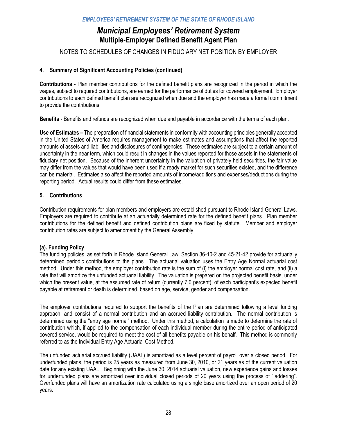## *Municipal Employees' Retirement System*  **Multiple-Employer Defined Benefit Agent Plan**

### NOTES TO SCHEDULES OF CHANGES IN FIDUCIARY NET POSITION BY EMPLOYER

#### **4. Summary of Significant Accounting Policies (continued)**

**Contributions** - Plan member contributions for the defined benefit plans are recognized in the period in which the wages, subject to required contributions, are earned for the performance of duties for covered employment. Employer contributions to each defined benefit plan are recognized when due and the employer has made a formal commitment to provide the contributions.

**Benefits** - Benefits and refunds are recognized when due and payable in accordance with the terms of each plan.

**Use of Estimates –** The preparation of financial statements in conformity with accounting principles generally accepted in the United States of America requires management to make estimates and assumptions that affect the reported amounts of assets and liabilities and disclosures of contingencies. These estimates are subject to a certain amount of uncertainty in the near term, which could result in changes in the values reported for those assets in the statements of fiduciary net position. Because of the inherent uncertainty in the valuation of privately held securities, the fair value may differ from the values that would have been used if a ready market for such securities existed, and the difference can be material. Estimates also affect the reported amounts of income/additions and expenses/deductions during the reporting period. Actual results could differ from these estimates.

#### **5. Contributions**

Contribution requirements for plan members and employers are established pursuant to Rhode Island General Laws. Employers are required to contribute at an actuarially determined rate for the defined benefit plans. Plan member contributions for the defined benefit and defined contribution plans are fixed by statute. Member and employer contribution rates are subject to amendment by the General Assembly.

#### **(a). Funding Policy**

The funding policies, as set forth in Rhode Island General Law, Section 36-10-2 and 45-21-42 provide for actuarially determined periodic contributions to the plans. The actuarial valuation uses the Entry Age Normal actuarial cost method. Under this method, the employer contribution rate is the sum of (i) the employer normal cost rate, and (ii) a rate that will amortize the unfunded actuarial liability. The valuation is prepared on the projected benefit basis, under which the present value, at the assumed rate of return (currently 7.0 percent), of each participant's expected benefit payable at retirement or death is determined, based on age, service, gender and compensation.

The employer contributions required to support the benefits of the Plan are determined following a level funding approach, and consist of a normal contribution and an accrued liability contribution. The normal contribution is determined using the "entry age normal" method. Under this method, a calculation is made to determine the rate of contribution which, if applied to the compensation of each individual member during the entire period of anticipated covered service, would be required to meet the cost of all benefits payable on his behalf. This method is commonly referred to as the Individual Entry Age Actuarial Cost Method.

The unfunded actuarial accrued liability (UAAL) is amortized as a level percent of payroll over a closed period. For underfunded plans, the period is 25 years as measured from June 30, 2010, or 21 years as of the current valuation date for any existing UAAL. Beginning with the June 30, 2014 actuarial valuation, new experience gains and losses for underfunded plans are amortized over individual closed periods of 20 years using the process of "laddering". Overfunded plans will have an amortization rate calculated using a single base amortized over an open period of 20 years.